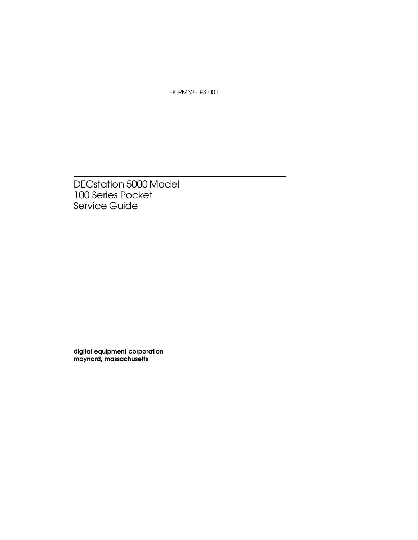EK-PM32E-PS-001

DECstation 5000 Model 100 Series Pocket Service Guide

digital equipment corporation maynard, massachusetts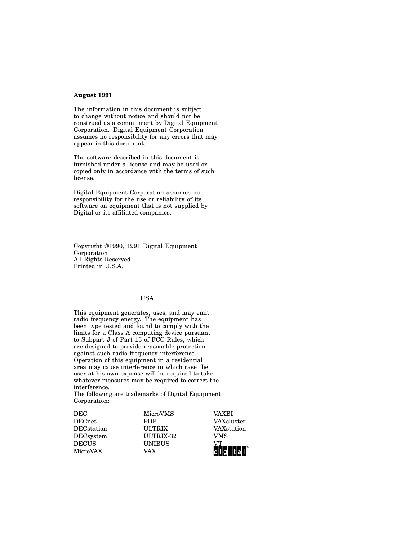#### **August 1991**

The information in this document is subject to change without notice and should not be construed as a commitment by Digital Equipment Corporation. Digital Equipment Corporation assumes no responsibility for any errors that may appear in this document.

The software described in this document is furnished under a license and may be used or copied only in accordance with the terms of such license.

Digital Equipment Corporation assumes no responsibility for the use or reliability of its software on equipment that is not supplied by Digital or its affiliated companies.

Copyright ©1990, 1991 Digital Equipment Corporation All Rights Reserved Printed in U.S.A.

#### USA

This equipment generates, uses, and may emit radio frequency energy. The equipment has been type tested and found to comply with the limits for a Class A computing device pursuant to Subpart J of Part 15 of FCC Rules, which are designed to provide reasonable protection against such radio frequency interference. Operation of this equipment in a residential area may cause interference in which case the user at his own expense will be required to take whatever measures may be required to correct the interference.

The following are trademarks of Digital Equipment Corporation:

| DEC           | MicroVMS      | VAXRI        |
|---------------|---------------|--------------|
|               |               |              |
| $\rm{DECnet}$ | <b>PDP</b>    | VAXcluster   |
| DECation      | <b>ULTRIX</b> | VAXstation   |
| $DECs$ ystem  | ULTRIX-32     | VMS          |
| <b>DECUS</b>  | <b>UNIBUS</b> | VТ           |
| MicroVAX      | VAX           | ا اما ۱۱ نام |
|               |               |              |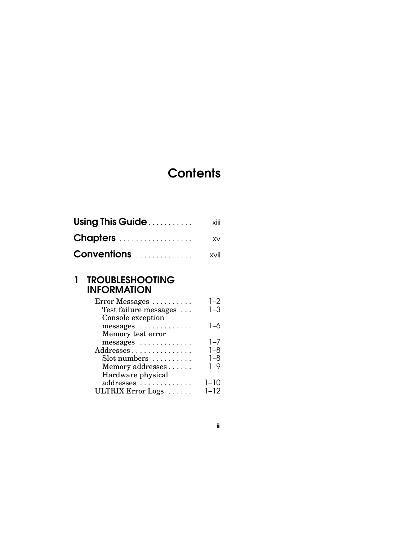## **Contents**

| Using This Guide   | xiii |
|--------------------|------|
| Chapters           | XV.  |
| <b>Conventions</b> | xvii |

#### 1 TROUBLESHOOTING INFORMATION

| Error Messages                   | 1–2      |
|----------------------------------|----------|
| Test failure messages            | $1 - 3$  |
| Console exception                |          |
| messages                         | 1–6      |
| Memory test error                |          |
| messages                         | $1 - 7$  |
| Addresses                        | $1 - 8$  |
| $Slot$ numbers $\dots\dots\dots$ | $1 - 8$  |
| Memory addresses                 | $1 - 9$  |
| Hardware physical                |          |
| addresses                        | $1 - 10$ |
| ULTRIX Error Logs                | 1–12     |
|                                  |          |

iii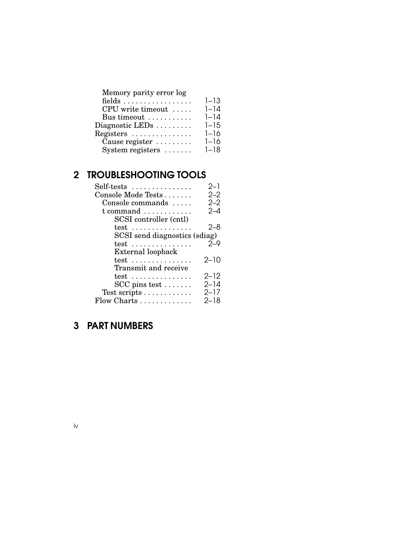| Memory parity error log |          |
|-------------------------|----------|
| fields                  | $1 - 13$ |
| CPU write timeout       | $1 - 14$ |
| Bus timeout             | $1 - 14$ |
| Diagnostic LEDs         | $1 - 15$ |
| Registers               | $1 - 16$ |
| Cause register          | $1 - 16$ |
| System registers        | $1 - 18$ |
|                         |          |

| <b>TROUBLESHOOTING TOOLS</b>         |          |
|--------------------------------------|----------|
| Self-tests                           | $2 - 1$  |
| Console Mode Tests                   | $2 - 2$  |
| Console commands                     | $2 - 2$  |
| $t$ command $\ldots \ldots \ldots$   | $2 - 4$  |
| SCSI controller (cntl)               |          |
| $test$                               | $2 - 8$  |
| SCSI send diagnostics (sdiag)        |          |
| $test$                               | $2 - 9$  |
| External loopback                    |          |
| $test \dots \dots \dots \dots \dots$ | $2 - 10$ |
| Transmit and receive                 |          |
| $test \dots \dots \dots \dots \dots$ | $2 - 12$ |
| $SCC$ pins test $\ldots \ldots$      | $2 - 14$ |
| Test scripts                         | $2 - 17$ |
| Flow Charts                          | 2–18     |

## 3 PART NUMBERS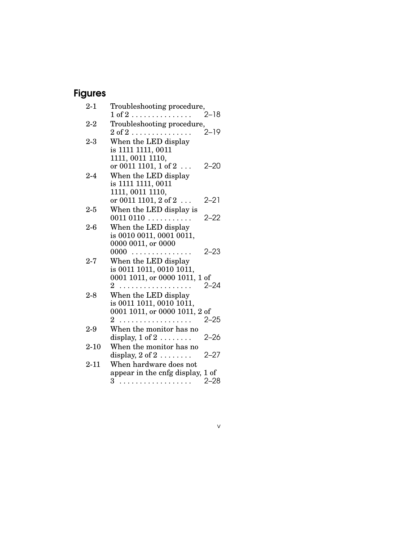## Figures

| $2 - 1$  | Troubleshooting procedure,                    |          |
|----------|-----------------------------------------------|----------|
|          | $1$ of $2$                                    | 2–18     |
| $2-2$    | Troubleshooting procedure,                    |          |
|          | $2 \text{ of } 2 \ldots \ldots \ldots \ldots$ | $2 - 19$ |
| $2 - 3$  | When the LED display                          |          |
|          | is 1111 1111, 0011                            |          |
|          | 1111, 0011 1110,                              |          |
|          | or 0011 1101, 1 of 2                          | $2 - 20$ |
| $2 - 4$  | When the LED display                          |          |
|          | is 1111 1111, 0011                            |          |
|          | 1111, 0011 1110,                              |          |
|          | or 0011 1101, 2 of 2                          | 2–21     |
| $2 - 5$  | When the LED display is                       |          |
|          | $0011\ 0110\ \ldots \ldots \ldots$            | $2 - 22$ |
| 2-6      | When the LED display                          |          |
|          | is 0010 0011, 0001 0011,                      |          |
|          | 0000 0011, or 0000                            |          |
|          | 0000<br>.                                     | 2–23     |
| $2 - 7$  | When the LED display                          |          |
|          | is 0011 1011, 0010 1011,                      |          |
|          | 0001 1011, or 0000 1011, 1 of                 |          |
|          | $2^{\circ}$<br>.                              | 2–24     |
| $2-8$    | When the LED display                          |          |
|          | is 0011 1011, 0010 1011,                      |          |
|          | 0001 1011, or 0000 1011, 2 of                 |          |
|          | 2                                             | $2 - 25$ |
| $2-9$    | When the monitor has no                       |          |
|          | display, $1 \text{ of } 2 \ldots \ldots$      | $2 - 26$ |
| $2 - 10$ | When the monitor has no                       |          |
|          | display, $2 \text{ of } 2 \ldots \ldots$      | $2 - 27$ |
| $2 - 11$ | When hardware does not                        |          |
|          | appear in the cnfg display, 1 of              |          |
|          |                                               | $2 - 28$ |

v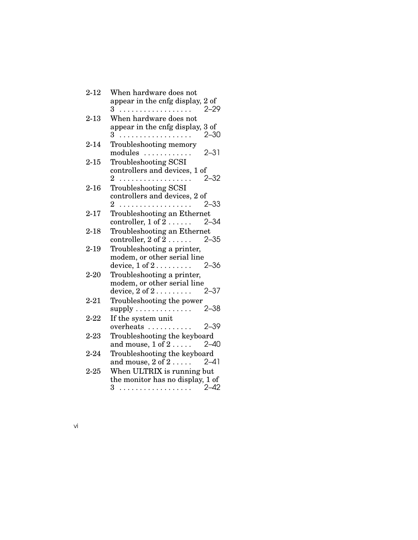| $2 - 12$      | When hardware does not                                                                        |
|---------------|-----------------------------------------------------------------------------------------------|
|               | appear in the cnfg display, 2 of<br>$2 - 29$<br>З<br>.                                        |
| $2 - 13$      | When hardware does not                                                                        |
|               | appear in the cnfg display, 3 of<br>$2 - 30$<br>3<br>.                                        |
| $2 - 14$      | Troubleshooting memory<br>$2 - 31$<br>modules                                                 |
| $2 - 15$      | <b>Troubleshooting SCSI</b><br>controllers and devices, 1 of                                  |
| $2 - 16$      | $2 - 32$<br>2<br>.<br><b>Troubleshooting SCSI</b>                                             |
|               | controllers and devices, 2 of<br>$2 - 33$<br>2                                                |
| $2 - 17$      | Troubleshooting an Ethernet<br>$\text{controller}, 1 \text{ of } 2 \ldots \ldots$<br>$2 - 34$ |
| $2 - 18$      | Troubleshooting an Ethernet<br>$\text{controller}, 2 \text{ of } 2 \ldots \ldots$<br>- 2–35   |
| $2 - 19$      | Troubleshooting a printer,<br>modem, or other serial line                                     |
|               | device, $1$ of $2$<br>$2 - 36$                                                                |
| $2 - 20$      | Troubleshooting a printer,<br>modem, or other serial line                                     |
|               | device, $2 \text{ of } 2 \ldots \ldots \ldots 2-37$                                           |
| $2 - 21$      | Troubleshooting the power<br>$2 - 38$<br>supply $\dots \dots \dots \dots$                     |
| $2 - 22$      | If the system unit<br>$2 - 39$<br>overheats                                                   |
| $2\hbox{-}23$ | Troubleshooting the keyboard<br>and mouse, $1$ of $2 \ldots$ .<br>$2 - 40$                    |
| $2 - 24$      | Troubleshooting the keyboard                                                                  |
|               | and mouse, $2 \text{ of } 2 \ldots$ 2-41                                                      |
| $2 - 25$      | When ULTRIX is running but                                                                    |
|               | the monitor has no display, 1 of                                                              |
|               | . 2–42<br>3 <sup>1</sup>                                                                      |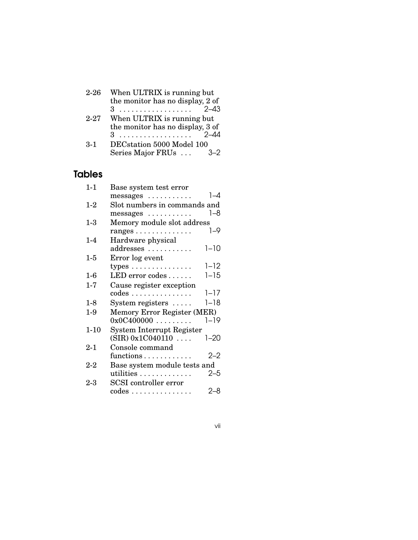| $2 - 26$ | When ULTRIX is running but       |
|----------|----------------------------------|
|          | the monitor has no display, 2 of |
|          | $2 - 43$<br>3                    |
| $2 - 27$ | When ULTRIX is running but       |
|          | the monitor has no display, 3 of |
|          | 3.                               |
| $3-1$    | DECstation 5000 Model 100        |
|          | Series Major FRUs                |

## Tables

| $1 - 1$  | Base system test error                          |  |
|----------|-------------------------------------------------|--|
|          | $1 - 4$<br>messages                             |  |
| $1-2$    | Slot numbers in commands and                    |  |
|          | 1–8<br>messages                                 |  |
| $1-3$    | Memory module slot address                      |  |
|          | $1 - 9$<br>$ranges \dots \dots \dots \dots$     |  |
| $1 - 4$  | Hardware physical                               |  |
|          | $1 - 10$<br>addresses                           |  |
| $1-5$    | Error log event                                 |  |
|          | $1 - 12$<br>types $\dots \dots \dots \dots$     |  |
| $1-6$    | $LED$ error codes $\ldots \ldots$<br>$1 - 15$   |  |
| 1-7      | Cause register exception                        |  |
|          | $1 - 17$<br>$codes \ldots \ldots \ldots \ldots$ |  |
| $1-8$    | $1 - 18$<br>System registers                    |  |
| $1-9$    | Memory Error Register (MER)                     |  |
|          | 0x0C400000<br>$1 - 19$                          |  |
| $1 - 10$ | System Interrupt Register                       |  |
|          | (SIR) 0x1C040110<br>$1 - 20$                    |  |
| $2 - 1$  | Console command                                 |  |
|          | $2 - 2$<br>functions                            |  |
| $2 - 2$  | Base system module tests and                    |  |
|          | $2 - 5$<br>utilities                            |  |
| $2 - 3$  | <b>SCSI</b> controller error                    |  |
|          | 2–8<br>$codes \ldots \ldots \ldots \ldots$      |  |

vii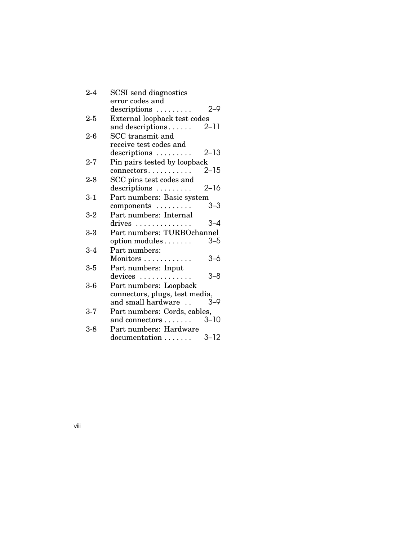| $2 - 4$ | <b>SCSI</b> send diagnostics        |
|---------|-------------------------------------|
|         | error codes and                     |
|         | 2-9<br>$descriptions \ldots \ldots$ |
| $2 - 5$ | External loopback test codes        |
|         | $2 - 11$<br>and descriptions        |
| $2-6$   | SCC transmit and                    |
|         | receive test codes and              |
|         | $2 - 13$<br>descriptions            |
| $2 - 7$ | Pin pairs tested by loopback        |
|         | $2 - 15$<br>connectors              |
| $2 - 8$ | SCC pins test codes and             |
|         | $2 - 16$<br>descriptions            |
| $3 - 1$ | Part numbers: Basic system          |
|         | 3–3<br>$components \dots \dots$     |
| $3-2$   | Part numbers: Internal              |
|         | 3–4<br>drives                       |
| $3-3$   | Part numbers: TURBOchannel          |
|         | option modules<br>$3 - 5$           |
| $3-4$   | Part numbers:                       |
|         | 3–6<br>Monitors                     |
| $3 - 5$ | Part numbers: Input                 |
|         | 3–8<br>$devices$                    |
| $3-6$   | Part numbers: Loopback              |
|         | connectors, plugs, test media,      |
|         | and small hardware<br>$3 - 9$       |
| $3 - 7$ | Part numbers: Cords, cables,        |
|         | $3 - 10$<br>and connectors          |
| $3-8$   | Part numbers: Hardware              |
|         | $3 - 12$<br>documentation           |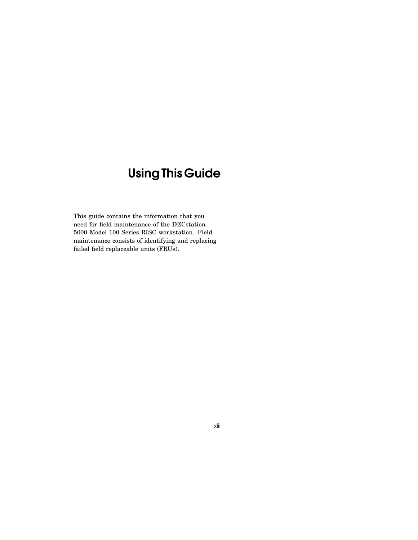## UsingThis Guide

This guide contains the information that you need for field maintenance of the DECstation 5000 Model 100 Series RISC workstation. Field maintenance consists of identifying and replacing failed field replaceable units (FRUs).

xiii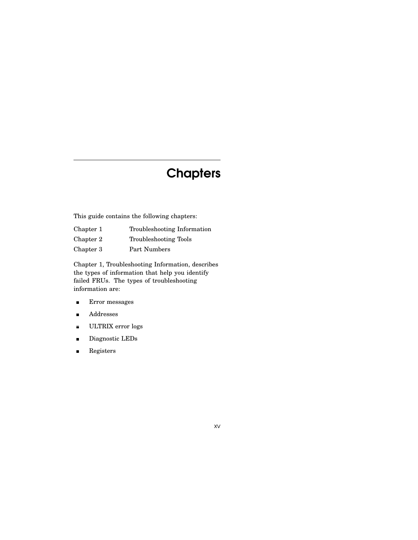## **Chapters**

This guide contains the following chapters:

| Chapter 1 | Troubleshooting Information  |
|-----------|------------------------------|
| Chapter 2 | <b>Troubleshooting Tools</b> |
| Chapter 3 | Part Numbers                 |

Chapter 1, Troubleshooting Information, describes the types of information that help you identify failed FRUs. The types of troubleshooting information are:

- Error messages  $\blacksquare$
- Addresses  $\blacksquare$
- ULTRIX error logs  $\blacksquare$
- Diagnostic LEDs  $\blacksquare$
- Registers  $\blacksquare$

xv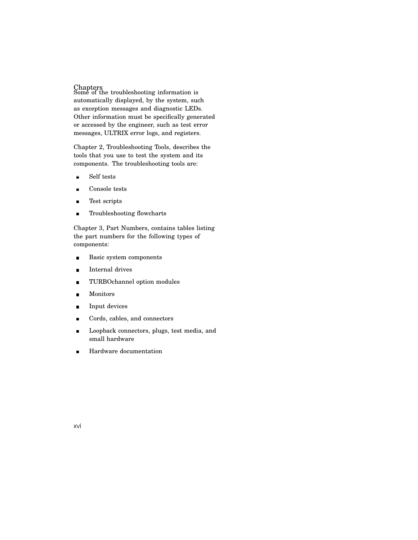Chapters Some of the troubleshooting information is automatically displayed, by the system, such as exception messages and diagnostic LEDs. Other information must be specifically generated or accessed by the engineer, such as test error messages, ULTRIX error logs, and registers.

Chapter 2, Troubleshooting Tools, describes the tools that you use to test the system and its components. The troubleshooting tools are:

- Self tests  $\blacksquare$
- Console tests  $\blacksquare$
- $\blacksquare$ Test scripts
- Troubleshooting flowcharts  $\blacksquare$

Chapter 3, Part Numbers, contains tables listing the part numbers for the following types of components:

- $\blacksquare$ Basic system components
- Internal drives  $\blacksquare$
- TURBOchannel option modules  $\blacksquare$
- Monitors  $\blacksquare$
- Input devices  $\blacksquare$
- Cords, cables, and connectors  $\blacksquare$
- Loopback connectors, plugs, test media, and  $\blacksquare$ small hardware
- Hardware documentation  $\blacksquare$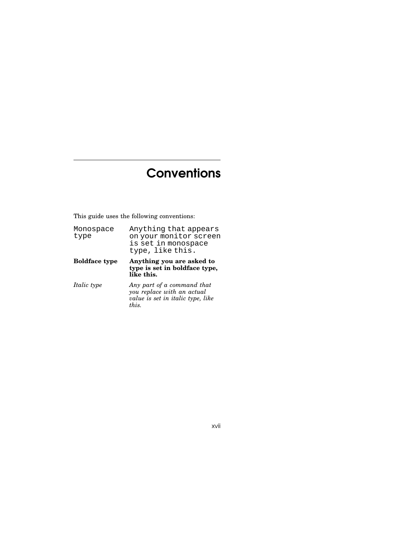## **Conventions**

This guide uses the following conventions:

*this.*

| Monospace<br>type    | Anything that appears<br>on your monitor screen<br>is set in monospace<br>type, like this.    |
|----------------------|-----------------------------------------------------------------------------------------------|
| <b>Boldface type</b> | Anything you are asked to<br>type is set in boldface type,<br>like this.                      |
| <i>Italic type</i>   | Any part of a command that<br>you replace with an actual<br>value is set in italic type, like |

xvii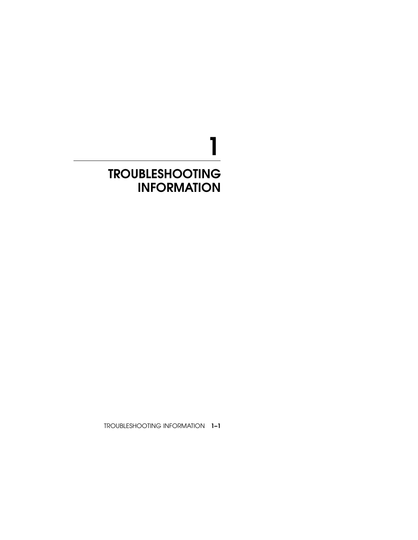# 1 TROUBLESHOOTING INFORMATION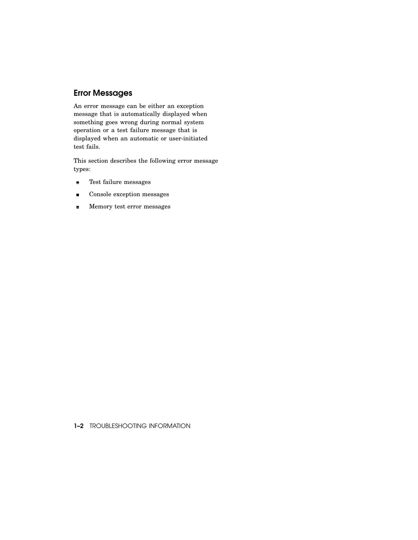#### Error Messages

An error message can be either an exception message that is automatically displayed when something goes wrong during normal system operation or a test failure message that is displayed when an automatic or user-initiated test fails.

This section describes the following error message types:

- $\blacksquare$ Test failure messages
- Console exception messages  $\blacksquare$
- Memory test error messages  $\blacksquare$

1-2 TROUBLESHOOTING INFORMATION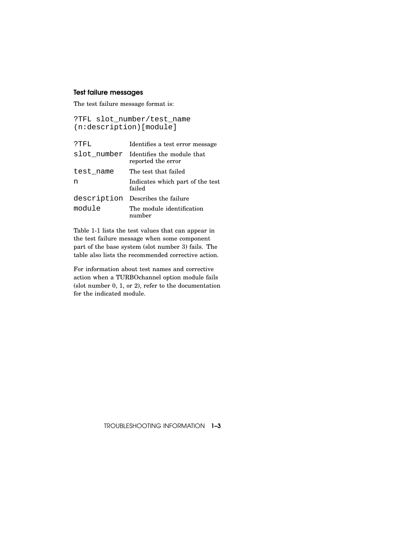#### Test failure messages

The test failure message format is:

```
?TFL slot_number/test_name
(n:description)[module]
```

| ?TFL        | Identifies a test error message                  |
|-------------|--------------------------------------------------|
| slot number | Identifies the module that<br>reported the error |
| test name   | The test that failed                             |
| n           | Indicates which part of the test<br>failed       |
|             | description Describes the failure                |
| module      | The module identification<br>number              |

Table 1-1 lists the test values that can appear in the test failure message when some component part of the base system (slot number 3) fails. The table also lists the recommended corrective action.

For information about test names and corrective action when a TURBOchannel option module fails (slot number 0, 1, or 2), refer to the documentation for the indicated module.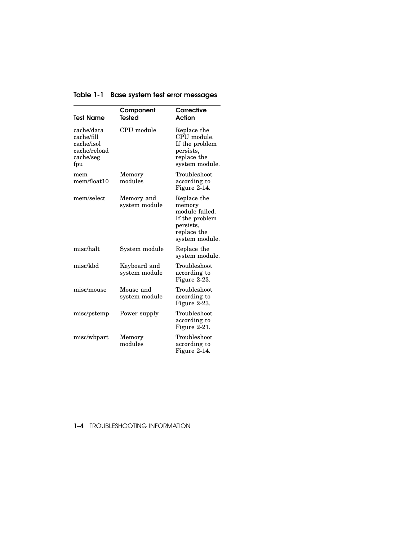| <b>Test Name</b>                                                           | Component<br><b>Tested</b>    | Corrective<br>Action                                                                                    |
|----------------------------------------------------------------------------|-------------------------------|---------------------------------------------------------------------------------------------------------|
| cache/data<br>cache/fill<br>cache/isol<br>cache/reload<br>cache/seg<br>fpu | CPU module                    | Replace the<br>CPU module.<br>If the problem<br>persists,<br>replace the<br>system module.              |
| mem<br>mem/float10                                                         | Memory<br>modules             | Troubleshoot<br>according to<br>Figure 2-14.                                                            |
| mem/select                                                                 | Memory and<br>system module   | Replace the<br>memory<br>module failed.<br>If the problem<br>persists,<br>replace the<br>system module. |
| misc/halt                                                                  | System module                 | Replace the<br>system module.                                                                           |
| misc/kbd                                                                   | Keyboard and<br>system module | Troubleshoot<br>according to<br>Figure 2-23.                                                            |
| misc/mouse                                                                 | Mouse and<br>system module    | Troubleshoot<br>according to<br>Figure 2-23.                                                            |
| misc/pstemp                                                                | Power supply                  | Troubleshoot<br>according to<br>Figure 2-21.                                                            |
| misc/wbpart                                                                | Memory<br>modules             | Troubleshoot<br>according to<br>Figure 2-14.                                                            |

Table 1-1 Base system test error messages

1–4 TROUBLESHOOTING INFORMATION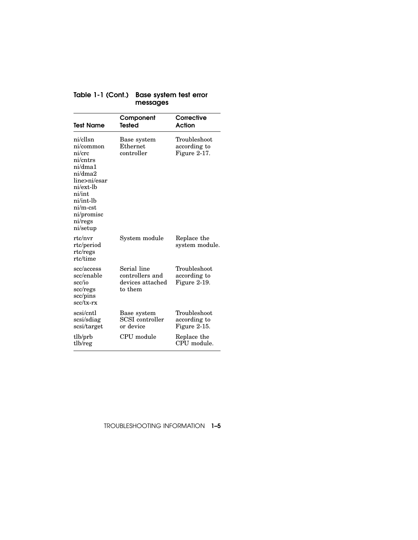| Table 1-1 (Cont.) Base system test error |
|------------------------------------------|
| messages                                 |

| <b>Test Name</b>                                                                                                                                                         | Component<br><b>Tested</b>                                    | Corrective<br>Action                         |
|--------------------------------------------------------------------------------------------------------------------------------------------------------------------------|---------------------------------------------------------------|----------------------------------------------|
| ni/cllsn<br>ni/common<br>ni/crc<br>ni/cntrs<br>ni/dma1<br>ni/dma2<br>line>ni/esar<br>ni/ext-lb<br>ni/int<br>ni/int-lb<br>$ni/m-est$<br>ni/promisc<br>ni/regs<br>ni/setup | Base system<br>Ethernet<br>controller                         | Troubleshoot<br>according to<br>Figure 2-17. |
| rtc/nvr<br>rtc/period<br>rtc/regs<br>rtc/time                                                                                                                            | System module                                                 | Replace the<br>system module.                |
| scc/access<br>scc/enable<br>scc/io<br>scc/regs<br>scc/pins<br>$sec/tx-rx$                                                                                                | Serial line<br>controllers and<br>devices attached<br>to them | Troubleshoot<br>according to<br>Figure 2-19. |
| scsi/cntl<br>scsi/sdiag<br>scsi/target                                                                                                                                   | Base system<br>SCSI controller<br>or device                   | Troubleshoot<br>according to<br>Figure 2-15. |
| tlb/prb<br>tlb/reg                                                                                                                                                       | CPU module                                                    | Replace the<br>CPU module.                   |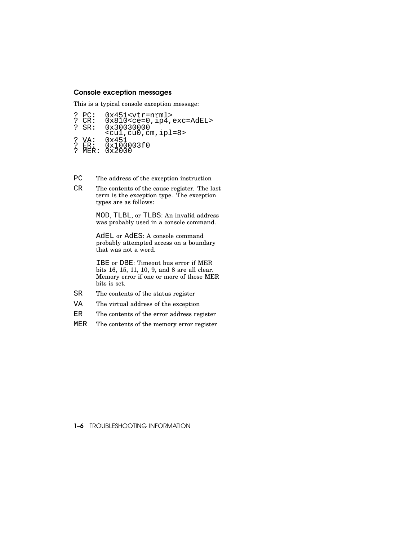#### Console exception messages

This is a typical console exception message:

- ? PC: 0x451<vtr=nrml> ? CR: 0x810<ce=0,ip4,exc=AdEL> ? SR: 0x30030000  $\frac{1}{\text{coul}}$ , cu0, cm, ipl=8>
- ? VA: 0x451 ? ER: 0x100003f0 ? MER: 0x2000
- 
- PC The address of the exception instruction
- CR The contents of the cause register. The last term is the exception type. The exception types are as follows:

MOD, TLBL, or TLBS: An invalid address was probably used in a console command.

AdEL or AdES: A console command probably attempted access on a boundary that was not a word.

IBE or DBE: Timeout bus error if MER bits 16, 15, 11, 10, 9, and 8 are all clear. Memory error if one or more of those MER bits is set.

- SR The contents of the status register
- VA The virtual address of the exception
- ER The contents of the error address register
- MER The contents of the memory error register

#### 1-6 TROUBLESHOOTING INFORMATION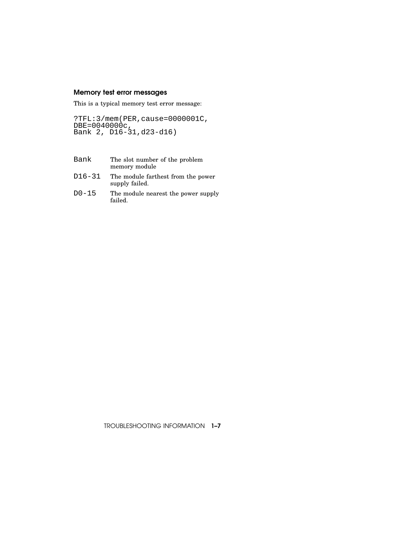#### Memory test error messages

This is a typical memory test error message:

?TFL:3/mem(PER,cause=0000001C, DBE=0040000c, Bank 2, D16-31,d23-d16)

- Bank The slot number of the problem memory module
- D16-31 The module farthest from the power supply failed.
- D0-15 The module nearest the power supply failed.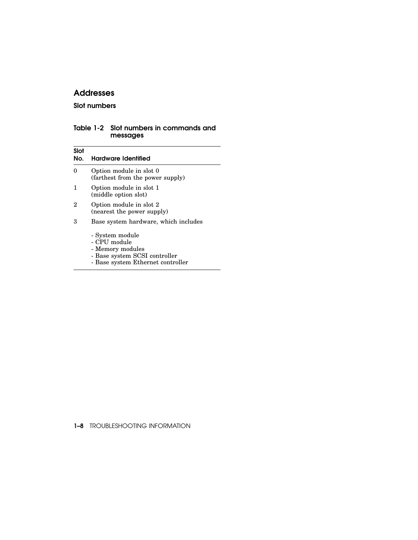#### Addresses

#### Slot numbers

#### Table 1-2 Slot numbers in commands and messages

| Slot<br>No. | Hardware Identified                                                                                                       |
|-------------|---------------------------------------------------------------------------------------------------------------------------|
| 0           | Option module in slot 0<br>(farthest from the power supply)                                                               |
| 1           | Option module in slot 1<br>(middle option slot)                                                                           |
| 2           | Option module in slot 2<br>(nearest the power supply)                                                                     |
| 3           | Base system hardware, which includes                                                                                      |
|             | - System module<br>- CPU module<br>- Memory modules<br>- Base system SCSI controller<br>- Base system Ethernet controller |

1-8 TROUBLESHOOTING INFORMATION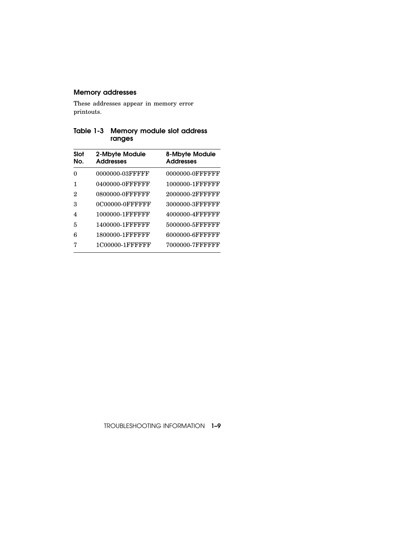#### Memory addresses

These addresses appear in memory error printouts.

#### Table 1-3 Memory module slot address ranges

| Slot<br>No. | 2-Mbyte Module<br><b>Addresses</b> | 8-Mbyte Module<br><b>Addresses</b> |
|-------------|------------------------------------|------------------------------------|
| 0           | 0000000-03FFFFF                    | 0000000-0FFFFFF                    |
|             | 0400000-0FFFFFF                    | 1000000-1FFFFFFF                   |
| 2           | 0800000-0FFFFFFF                   | 2000000-2FFFFFFF                   |
| З           | 0C00000-0FFFFFFF                   | 3000000-3FFFFFFF                   |
| 4           | 1000000-1FFFFFFF                   | 4000000-4FFFFFFF                   |
| 5           | 1400000-1FFFFFFF                   | 5000000-5FFFFFFF                   |
| 6           | 1800000-1FFFFFFF                   | 6000000-6FFFFFFF                   |
|             | 1C00000-1FFFFFFF                   | 7000000-7FFFFFFF                   |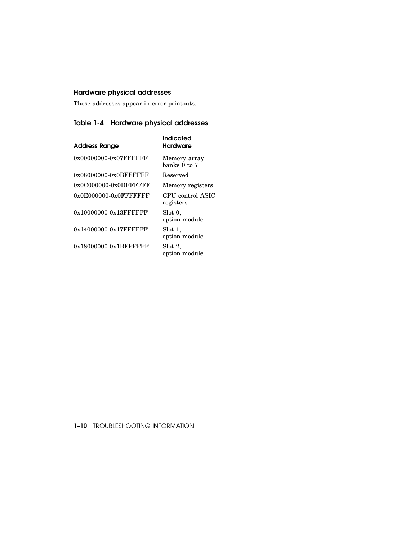#### Hardware physical addresses

These addresses appear in error printouts.

Table 1-4 Hardware physical addresses

| <b>Address Range</b>      | Indicated<br>Hardware         |
|---------------------------|-------------------------------|
| 0x00000000-0x07FFFFFFF    | Memory array<br>banks 0 to 7  |
| 0x08000000-0x0BFFFFFFF    | Reserved                      |
| $0x0C000000-0x0DFFFFFF$   | Memory registers              |
| $0x0E000000-0x0$ FFFFFFFF | CPU control ASIC<br>registers |
| $0x10000000-0x13$ FFFFFFF | Slot 0,<br>option module      |
| $0x14000000-0x17$ FFFFFFF | Slot 1,<br>option module      |
| $0x18000000-0x1BFFFFFF$   | Slot 2.<br>option module      |

1–10 TROUBLESHOOTING INFORMATION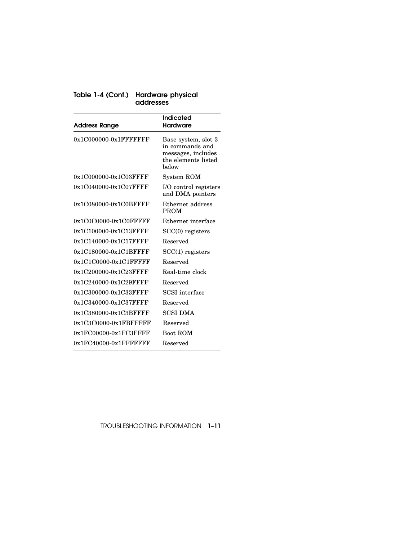| Table 1-4 (Cont.) Hardware physical |
|-------------------------------------|
| addresses                           |

| Address Range             | Indicated<br>Hardware                                                                        |
|---------------------------|----------------------------------------------------------------------------------------------|
| $0x1C000000-0x1$ FFFFFFFF | Base system, slot 3<br>in commands and<br>messages, includes<br>the elements listed<br>helow |
| 0x1C000000-0x1C03FFFF     | System ROM                                                                                   |
| 0x1C040000-0x1C07FFFF     | I/O control registers<br>and DMA pointers                                                    |
| 0x1C080000-0x1C0BFFFF     | Ethernet address<br><b>PROM</b>                                                              |
| $0x1C0C0000-0x1C0$ FFFFF  | Ethernet interface                                                                           |
| $0x1C100000-0x1C13$ FFFF  | $SCC(0)$ registers                                                                           |
| 0x1C140000-0x1C17FFFF     | Reserved                                                                                     |
| $0x1C180000-0x1C1BFFFF$   | $SCC(1)$ registers                                                                           |
| 0x1C1C0000-0x1C1FFFFF     | Reserved                                                                                     |
| 0x1C200000-0x1C23FFFF     | Real-time clock                                                                              |
| 0x1C240000-0x1C29FFFF     | Reserved                                                                                     |
| 0x1C300000-0x1C33FFFF     | <b>SCSI</b> interface                                                                        |
| 0x1C340000-0x1C37FFFF     | Reserved                                                                                     |
| 0x1C380000-0x1C3BFFFF     | <b>SCSI DMA</b>                                                                              |
| $0x1C3C0000-0x1FBFFFFF$   | Reserved                                                                                     |
| $0x1FC00000-0x1FC3FFFF$   | <b>Boot ROM</b>                                                                              |
| $0x1FC40000-0x1FFFFFFFF$  | Reserved                                                                                     |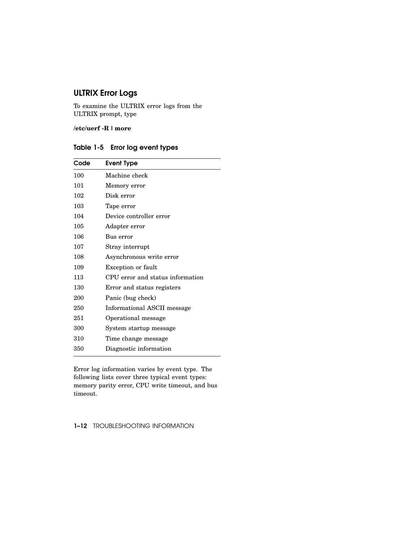## ULTRIX Error Logs

To examine the ULTRIX error logs from the ULTRIX prompt, type

**/etc/uerf -R | more**

| Table 1-5 Error log event types |  |  |  |
|---------------------------------|--|--|--|
|---------------------------------|--|--|--|

| Code | Event Type                       |
|------|----------------------------------|
| 100  | Machine check                    |
| 101  | Memory error                     |
| 102  | Disk error                       |
| 103  | Tape error                       |
| 104  | Device controller error          |
| 105  | Adapter error                    |
| 106  | Bus error                        |
| 107  | Stray interrupt                  |
| 108  | Asynchronous write error         |
| 109  | Exception or fault               |
| 113  | CPU error and status information |
| 130  | Error and status registers       |
| 200  | Panic (bug check)                |
| 250  | Informational ASCII message      |
| 251  | Operational message              |
| 300  | System startup message           |
| 310  | Time change message              |
| 350  | Diagnostic information           |
|      |                                  |

Error log information varies by event type. The following lists cover three typical event types: memory parity error, CPU write timeout, and bus timeout.

#### 1–12 TROUBLESHOOTING INFORMATION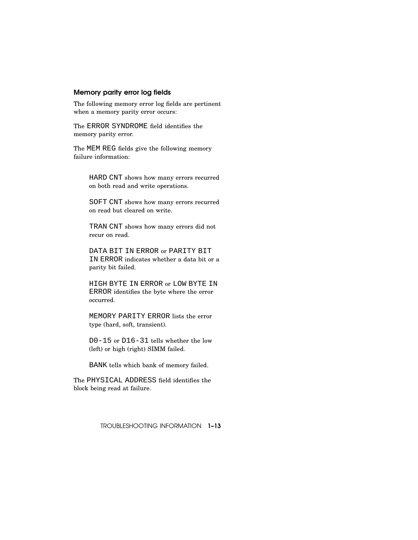#### Memory parity error log fields

The following memory error log fields are pertinent when a memory parity error occurs:

The ERROR SYNDROME field identifies the memory parity error.

The MEM REG fields give the following memory failure information:

> HARD CNT shows how many errors recurred on both read and write operations.

> SOFT CNT shows how many errors recurred on read but cleared on write.

TRAN CNT shows how many errors did not recur on read.

DATA BIT IN ERROR or PARITY BIT IN ERROR indicates whether a data bit or a parity bit failed.

HIGH BYTE IN ERROR or LOW BYTE IN ERROR identifies the byte where the error occurred.

MEMORY PARITY ERROR lists the error type (hard, soft, transient).

D0-15 or D16-31 tells whether the low (left) or high (right) SIMM failed.

BANK tells which bank of memory failed.

The PHYSICAL ADDRESS field identifies the block being read at failure.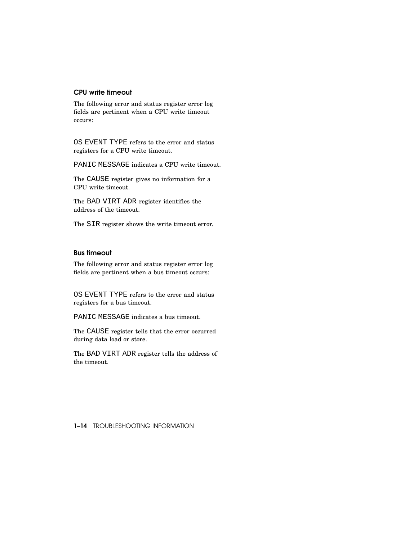#### CPU write timeout

The following error and status register error log fields are pertinent when a CPU write timeout occurs:

OS EVENT TYPE refers to the error and status registers for a CPU write timeout.

PANIC MESSAGE indicates a CPU write timeout.

The CAUSE register gives no information for a CPU write timeout.

The BAD VIRT ADR register identifies the address of the timeout.

The SIR register shows the write timeout error.

#### Bus timeout

The following error and status register error log fields are pertinent when a bus timeout occurs:

OS EVENT TYPE refers to the error and status registers for a bus timeout.

PANIC MESSAGE indicates a bus timeout.

The CAUSE register tells that the error occurred during data load or store.

The BAD VIRT ADR register tells the address of the timeout.

1–14 TROUBLESHOOTING INFORMATION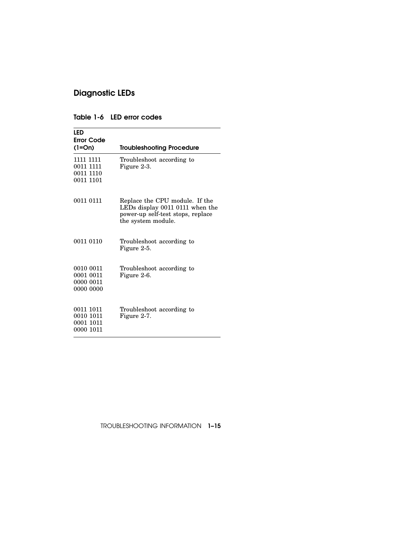## Diagnostic LEDs

| LED<br>Error Code<br>$(1=On)$                    | <b>Troubleshooting Procedure</b>                                                                                             |
|--------------------------------------------------|------------------------------------------------------------------------------------------------------------------------------|
| 1111 1111<br>0011 1111<br>0011 1110<br>0011 1101 | Troubleshoot according to<br>Figure 2-3.                                                                                     |
| 0011 0111                                        | Replace the CPU module. If the<br>LEDs display 0011 0111 when the<br>power-up self-test stops, replace<br>the system module. |
| 0011 0110                                        | Troubleshoot according to<br>Figure 2-5.                                                                                     |
| 0010 0011<br>0001 0011<br>0000 0011<br>0000 0000 | Troubleshoot according to<br>Figure 2-6.                                                                                     |
| 0011 1011<br>0010 1011<br>0001 1011<br>0000 1011 | Troubleshoot according to<br>Figure 2-7.                                                                                     |

#### Table 1-6 LED error codes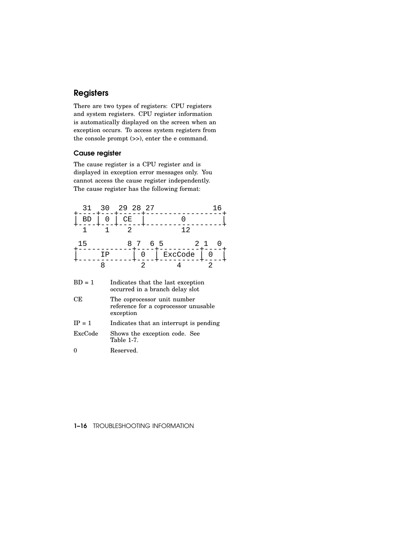### **Registers**

There are two types of registers: CPU registers and system registers. CPU register information is automatically displayed on the screen when an exception occurs. To access system registers from the console prompt (>>), enter the e command.

#### Cause register

The cause register is a CPU register and is displayed in exception error messages only. You cannot access the cause register independently. The cause register has the following format:

| 31                                                                               | 30 | 29 28 27                                                                         |                                        |    | I 6 |
|----------------------------------------------------------------------------------|----|----------------------------------------------------------------------------------|----------------------------------------|----|-----|
| ВD                                                                               |    | CE                                                                               |                                        | O  |     |
| 1                                                                                |    | 2.                                                                               |                                        | 12 |     |
| 15                                                                               |    | 8                                                                                | 65                                     | 21 |     |
|                                                                                  | ΙP | Ω                                                                                | ExcCode                                |    |     |
|                                                                                  | 8  | 2                                                                                |                                        | 2  |     |
| $BD = 1$<br>Indicates that the last exception<br>occurred in a branch delay slot |    |                                                                                  |                                        |    |     |
| СE                                                                               |    | The coprocessor unit number<br>reference for a coprocessor unusable<br>exception |                                        |    |     |
| $IP = 1$                                                                         |    |                                                                                  | Indicates that an interrupt is pending |    |     |

| $IF = 1$ | Indicates that an interrupt is pending      |
|----------|---------------------------------------------|
| ExcCode  | Shows the exception code. See<br>Table 1-7. |

0 Reserved.

#### 1-16 TROUBLESHOOTING INFORMATION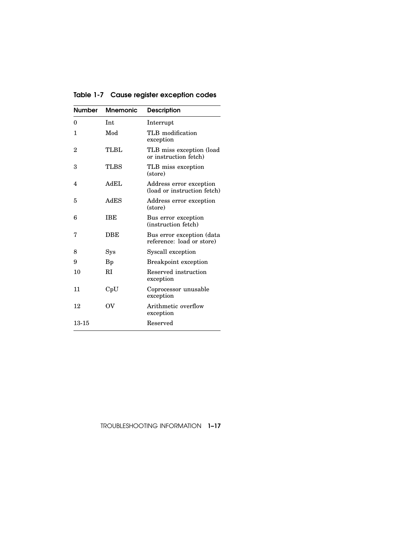| Table 1-7 Cause register exception codes |  |  |  |  |  |
|------------------------------------------|--|--|--|--|--|
|------------------------------------------|--|--|--|--|--|

| <b>Number</b> | <b>Mnemonic</b> | <b>Description</b>                                     |
|---------------|-----------------|--------------------------------------------------------|
| 0             | Int.            | Interrupt                                              |
| 1             | Mod             | TLB modification<br>exception                          |
| 2             | TLBL            | TLB miss exception (load)<br>or instruction fetch)     |
| 3             | <b>TLBS</b>     | TLB miss exception<br>(store)                          |
| 4             | AdEL            | Address error exception<br>(load or instruction fetch) |
| 5             | AdES            | Address error exception<br>(store)                     |
| 6             | <b>TBE</b>      | Bus error exception<br>(instruction fetch)             |
| 7             | DBE             | Bus error exception (data<br>reference: load or store) |
| 8             | Sys             | Syscall exception                                      |
| 9             | Bp              | <b>Breakpoint exception</b>                            |
| 10            | RI              | Reserved instruction<br>exception                      |
| 11            | $\mathrm{CpU}$  | Coprocessor unusable<br>exception                      |
| 12            | $\alpha$        | Arithmetic overflow<br>exception                       |
| 13-15         |                 | Reserved                                               |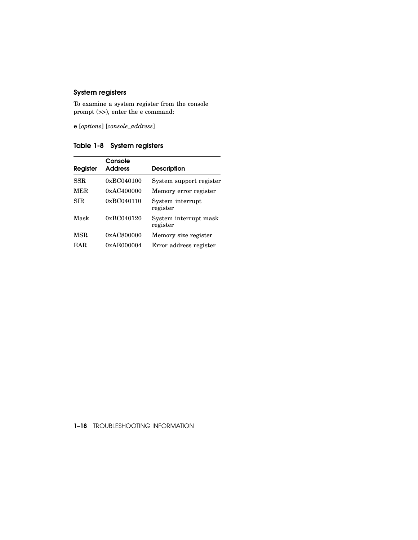#### System registers

To examine a system register from the console prompt (>>), enter the e command:

**e** [*options*] [*console\_address*]

Table 1-8 System registers

| Console<br><b>Address</b> | <b>Description</b>                |
|---------------------------|-----------------------------------|
| 0xBC040100                | System support register           |
| 0xAC400000                | Memory error register             |
| 0xBC040110                | System interrupt<br>register      |
| $0 \times BC040120$       | System interrupt mask<br>register |
| 0xAC800000                | Memory size register              |
| 0xAE000004                | Error address register            |
|                           |                                   |

#### 1–18 TROUBLESHOOTING INFORMATION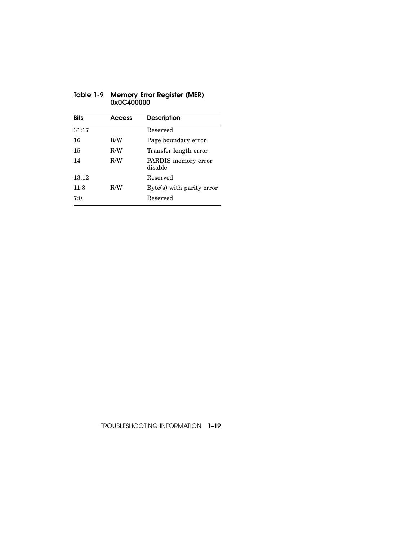| <b>Bits</b> | Access | <b>Description</b>             |
|-------------|--------|--------------------------------|
| 31:17       |        | Reserved                       |
| 16          | R/W    | Page boundary error            |
| 15          | R/W    | Transfer length error          |
| 14          | R/W    | PARDIS memory error<br>disable |
| 13:12       |        | Reserved                       |
| 11:8        | R/W    | Byte(s) with parity error      |
| 7:0         |        | Reserved                       |
|             |        |                                |

#### Table 1-9 Memory Error Register (MER) 0x0C400000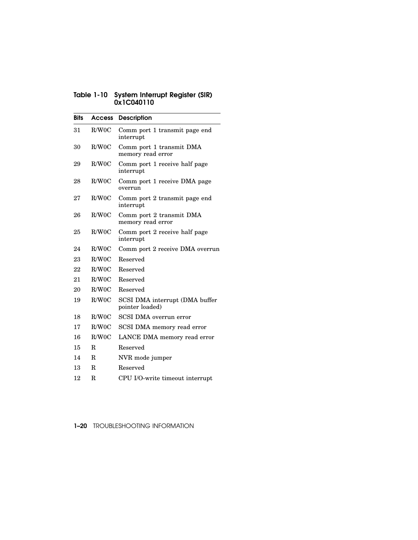#### Table 1-10 System Interrupt Register (SIR) 0x1C040110

| <b>Bits</b> | Access      | <b>Description</b>                                |
|-------------|-------------|---------------------------------------------------|
| 31          | R/W0C       | Comm port 1 transmit page end<br>interrupt        |
| 30          | R/W0C       | Comm port 1 transmit DMA<br>memory read error     |
| 29          | R/W0C       | Comm port 1 receive half page<br>interrupt        |
| 28          | R/W0C       | Comm port 1 receive DMA page<br>overrun           |
| 27          | R/W0C       | Comm port 2 transmit page end<br>interrupt        |
| 26          | R/W0C       | Comm port 2 transmit DMA<br>memory read error     |
| 25          | R/W0C       | Comm port 2 receive half page<br>interrupt        |
| 24          | R/W0C       | Comm port 2 receive DMA overrun                   |
| 23          | R/W0C       | Reserved                                          |
| 22          | R/W0C       | Reserved                                          |
| 21          | R/W0C       | Reserved                                          |
| 20          | R/W0C       | Reserved                                          |
| 19          | R/W0C       | SCSI DMA interrupt (DMA buffer<br>pointer loaded) |
| 18          | R/W0C       | SCSI DMA overrun error                            |
| 17          | R/W0C       | SCSI DMA memory read error                        |
| 16          | R/W0C       | LANCE DMA memory read error                       |
| 15          | R.          | Reserved                                          |
| 14          | R           | NVR mode jumper                                   |
| 13          | R.          | Reserved                                          |
| 12          | $\mathbf R$ | CPU I/O-write timeout interrupt                   |

1-20 TROUBLESHOOTING INFORMATION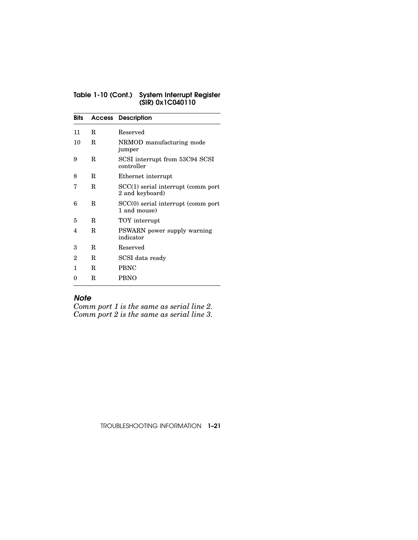#### Table 1-10 (Cont.) System Interrupt Register (SIR) 0x1C040110

| Bits |    | <b>Access Description</b>                             |
|------|----|-------------------------------------------------------|
| 11   | R. | Reserved                                              |
| 10   | R  | NRMOD manufacturing mode<br>jumper                    |
| 9    | R  | SCSI interrupt from 53C94 SCSI<br>controller          |
| 8    | R. | Ethernet interrupt                                    |
| 7    | R  | SCC(1) serial interrupt (comm port<br>2 and keyboard) |
| 6    | R  | SCC(0) serial interrupt (comm port<br>1 and mouse)    |
| 5    | R  | TOY interrupt                                         |
| 4    | R  | PSWARN power supply warning<br>indicator              |
| 3    | R. | Reserved                                              |
| 2    | R. | SCSI data ready                                       |
| 1    | R  | <b>PBNC</b>                                           |
| 0    | R  | <b>PBNO</b>                                           |

#### *Note*

*Comm port 1 is the same as serial line 2. Comm port 2 is the same as serial line 3.*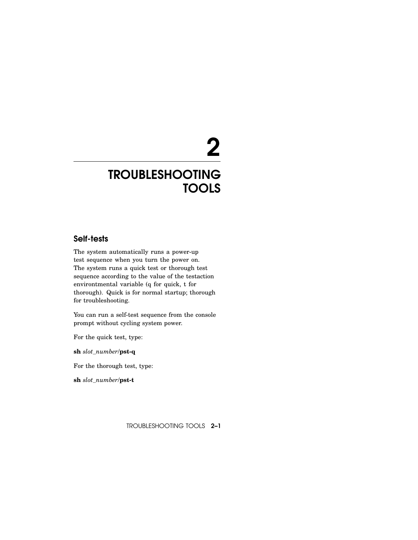# 2

## TROUBLESHOOTING **TOOLS**

#### Self-tests

The system automatically runs a power-up test sequence when you turn the power on. The system runs a quick test or thorough test sequence according to the value of the testaction environtmental variable (q for quick, t for thorough). Quick is for normal startup; thorough for troubleshooting.

You can run a self-test sequence from the console prompt without cycling system power.

For the quick test, type:

**sh** *slot\_number*/**pst-q**

For the thorough test, type:

**sh** *slot\_number*/**pst-t**

TROUBLESHOOTING TOOLS 2–1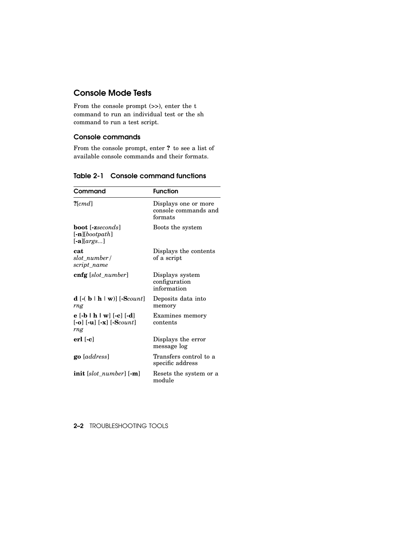#### Console Mode Tests

From the console prompt (>>), enter the t command to run an individual test or the sh command to run a test script.

#### Console commands

From the console prompt, enter **?** to see a list of available console commands and their formats.

| Command                                                                                                                                              | <b>Function</b>                                         |
|------------------------------------------------------------------------------------------------------------------------------------------------------|---------------------------------------------------------|
| $?$ [cmd]                                                                                                                                            | Displays one or more<br>console commands and<br>formats |
| <b>boot</b> [-zseconds]<br>$[-n]$ [bootpath]<br>$[-a][args]$                                                                                         | Boots the system                                        |
| cat<br>slot number/<br>script_name                                                                                                                   | Displays the contents<br>of a script                    |
| $cnfg$ [slot number]                                                                                                                                 | Displays system<br>configuration<br>information         |
| <b>d</b> $\left[ -(b \mid h \mid w) \right]$ $\left[ -\text{Scount} \right]$<br>rng                                                                  | Deposits data into<br>memory                            |
| $e [ -b   h   w] [-c] [-d]$<br>$\left[-\mathbf{o}\right]$ $\left[-\mathbf{u}\right]$ $\left[-\mathbf{x}\right]$ $\left[-\text{Scount}\right]$<br>rng | Examines memory<br>contents                             |
| $erl$ [-c]                                                                                                                                           | Displays the error<br>message log                       |
| <b>go</b> [address]                                                                                                                                  | Transfers control to a<br>specific address              |
| $\textbf{init}$ [slot_number] $\textbf{[-m]}$                                                                                                        | Resets the system or a<br>module                        |

#### Table 2-1 Console command functions

2–2 TROUBLESHOOTING TOOLS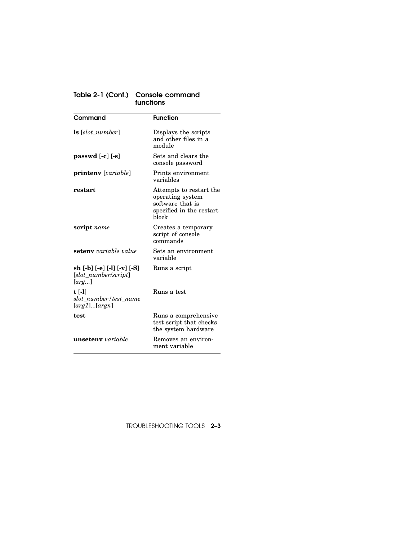#### Table 2-1 (Cont.) Console command functions

| Command                                                      | <b>Function</b>                                                                                      |
|--------------------------------------------------------------|------------------------------------------------------------------------------------------------------|
| $ls [slot_number]$                                           | Displays the scripts<br>and other files in a<br>module                                               |
| passwd $[-c]$ $[-s]$                                         | Sets and clears the<br>console password                                                              |
| printeny [variable]                                          | Prints environment<br>variables                                                                      |
| restart                                                      | Attempts to restart the<br>operating system<br>software that is<br>specified in the restart<br>hlock |
| <b>script</b> name                                           | Creates a temporary<br>script of console<br>commands                                                 |
| <b>seteny</b> variable value                                 | Sets an environment<br>variable                                                                      |
| sh [-b] [-e] [-l] [-v] [-S]<br>[slot_number/script]<br>[arg] | Runs a script                                                                                        |
| $t$ [-1]<br>slot number/test name<br>[arg1][argn]            | Runs a test                                                                                          |
| test                                                         | Runs a comprehensive<br>test script that checks<br>the system hardware                               |
| <b>unseteny</b> variable                                     | Removes an environ-<br>ment variable                                                                 |

TROUBLESHOOTING TOOLS 2–3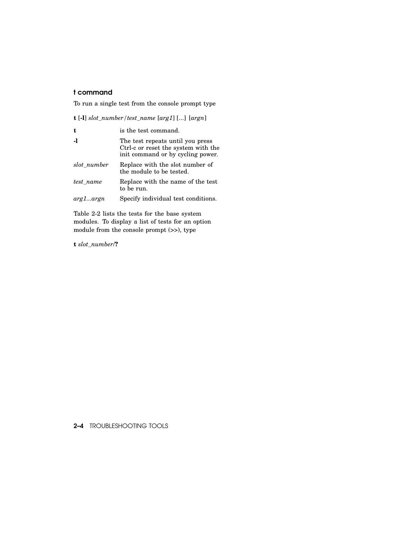## t command

To run a single test from the console prompt type

**t** [**-l**] *slot\_number/test\_name* [*arg1*] [...] [*argn*]

| t           | is the test command.                                                                                         |
|-------------|--------------------------------------------------------------------------------------------------------------|
| -1          | The test repeats until you press<br>Ctrl-c or reset the system with the<br>init command or by cycling power. |
| slot number | Replace with the slot number of<br>the module to be tested.                                                  |
| test_name   | Replace with the name of the test<br>to be run.                                                              |
| arg1…argn   | Specify individual test conditions.                                                                          |

Table 2-2 lists the tests for the base system modules. To display a list of tests for an option module from the console prompt (>>), type

**t** *slot\_number*/**?**

2–4 TROUBLESHOOTING TOOLS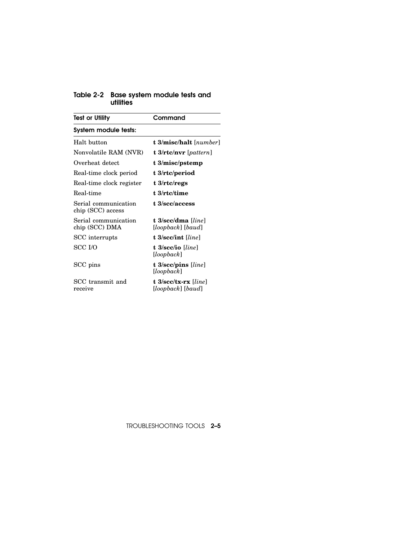#### Table 2-2 Base system module tests and utilities

| <b>Test or Utility</b>                    | Command                                                       |  |
|-------------------------------------------|---------------------------------------------------------------|--|
| System module tests:                      |                                                               |  |
| Halt button                               | <b>t 3/misc/halt</b> [number]                                 |  |
| Nonvolatile RAM (NVR)                     | $t$ 3/rtc/nvr [pattern]                                       |  |
| Overheat detect                           | t 3/misc/pstemp                                               |  |
| Real-time clock period                    | t 3/rtc/period                                                |  |
| Real-time clock register                  | t 3/rtc/regs                                                  |  |
| Real-time                                 | t 3/rtc/time                                                  |  |
| Serial communication<br>chip (SCC) access | t 3/scc/access                                                |  |
| Serial communication<br>chip (SCC) DMA    | t $3/sec/dma$ [ <i>line</i> ]<br>$[loopback]$ $[baud]$        |  |
| SCC interrupts                            | t 3/scc/int [ <i>line</i> ]                                   |  |
| <b>SCC I/O</b>                            | t 3/scc/io [line]<br>[loopback]                               |  |
| SCC pins                                  | t $3/sec/pins$ [line]<br>[loopback]                           |  |
| SCC transmit and<br>receive               | t $3/\text{sec}/\text{tx-rx}$ [line]<br>$[loopback]$ $[baud]$ |  |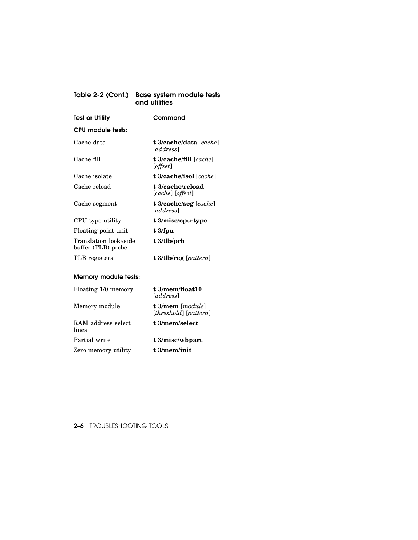#### Table 2-2 (Cont.) Base system module tests and utilities

| Test or Utility                             | Command                                    |
|---------------------------------------------|--------------------------------------------|
| CPU module tests:                           |                                            |
| Cache data                                  | t 3/cache/data [cache]<br><i>[address]</i> |
| Cache fill                                  | t 3/cache/fill [cache]<br>[offset]         |
| Cache isolate                               | <b>t 3/cache/isol</b> [cache]              |
| Cache reload                                | t 3/cache/reload<br>[cache] [offset]       |
| Cache segment                               | t $3$ /cache/seg [cache]<br><i>address</i> |
| CPU-type utility                            | t 3/misc/cpu-type                          |
| Floating-point unit                         | $t \frac{3}{f}$                            |
| Translation lookaside<br>buffer (TLB) probe | $t \frac{3}{t}$ lb/prb                     |
| TLB registers                               | t 3/tlb/reg $[pattern]$                    |

# Memory module tests:

| Floating 1/0 memory          | t 3/mem/float10<br><i><u><b>I</b>address</u></i>              |
|------------------------------|---------------------------------------------------------------|
| Memory module                | $t\frac{3}{\text{mem}}$ [module]<br>$[threshold]$ $[pattern]$ |
| RAM address select.<br>lines | t.3/mem/selert                                                |
| Partial write                | t 3/misc/wbpart                                               |
| Zero memory utility          | t.3/mem/init                                                  |

2–6 TROUBLESHOOTING TOOLS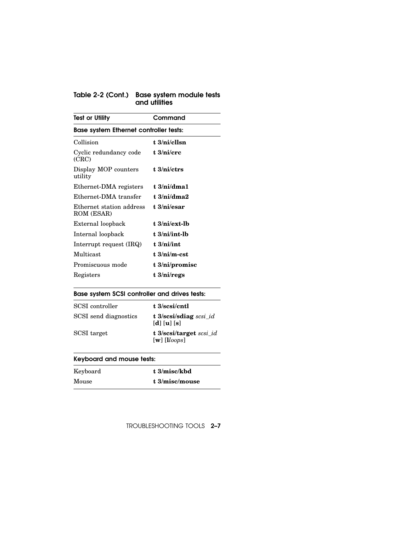#### Table 2-2 (Cont.) Base system module tests and utilities

| <b>Test or Utility</b>                        | Command                    |  |
|-----------------------------------------------|----------------------------|--|
| <b>Base system Ethernet controller tests:</b> |                            |  |
| Collision                                     | $t \frac{3}{ni/ellsn}$     |  |
| Cyclic redundancy code<br>(CRC)               | t $3/ni/crc$               |  |
| Display MOP counters<br>utility               | $t \frac{3}{n}$            |  |
| Ethernet-DMA registers                        | $t \frac{3}{ni/dma1}$      |  |
| Ethernet-DMA transfer                         | t $3/ni/dma2$              |  |
| Ethernet station address<br>ROM (ESAR)        | $t.3/ni$ /esar             |  |
| External loopback                             | $t \frac{3}{ni}$ /ext-lb   |  |
| Internal loopback                             | $t \frac{3}{ni}$ int-l $b$ |  |
| Interrupt request (IRQ)                       | t.3/ni/int                 |  |
| Multicast                                     | $t \frac{3}{ni/m-est}$     |  |
| Promiscuous mode                              | t 3/ni/promisc             |  |
| Registers                                     | t 3/ni/regs                |  |

## Base system SCSI controller and drives tests:

| SCSI controller       | t 3/scsi/cntl                                                                                       |
|-----------------------|-----------------------------------------------------------------------------------------------------|
| SCSI send diagnostics | t 3/scsi/sdiag $scsi_id$<br>$\left[\mathbf{d}\right]\left[\mathbf{u}\right]\left[\mathbf{s}\right]$ |
| SCSI target           | t 3/scsi/target scsi id<br>$\lceil \mathbf{w} \rceil$ $\lceil \mathbf{l} \log \mathbf{l} \rceil$    |

# Keyboard and mouse tests:

| Keyboard | t 3/misc/kbd   |
|----------|----------------|
| Mouse    | t 3/misc/mouse |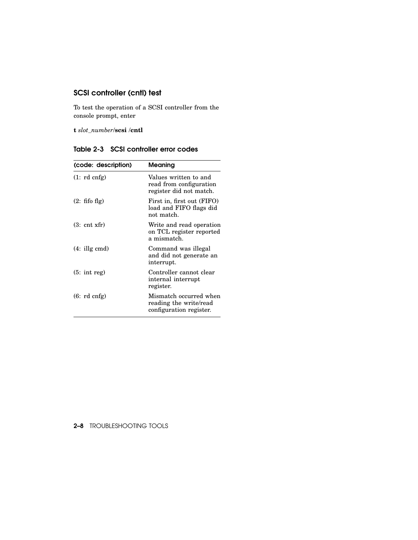# SCSI controller (cntl) test

To test the operation of a SCSI controller from the console prompt, enter

**t** *slot\_number*/**scsi** /**cntl**

Table 2-3 SCSI controller error codes

| (code: description)   | Meaning                                                                     |
|-----------------------|-----------------------------------------------------------------------------|
| (1: rd cnfg)          | Values written to and<br>read from configuration<br>register did not match. |
| $(2:$ fifo flg)       | First in, first out (FIFO)<br>load and FIFO flags did<br>not match.         |
| $(3: \text{cnt xfr})$ | Write and read operation<br>on TCL register reported<br>a mismatch.         |
| $(4:$ illg cmd)       | Command was illegal<br>and did not generate an<br>interrupt.                |
| $(5: \text{int reg})$ | Controller cannot clear<br>internal interrupt<br>register.                  |
| (6: rd cnfg)          | Mismatch occurred when<br>reading the write/read<br>configuration register. |

## 2–8 TROUBLESHOOTING TOOLS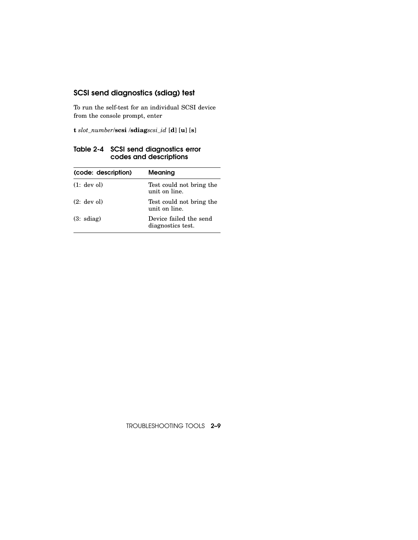# SCSI send diagnostics (sdiag) test

To run the self-test for an individual SCSI device from the console prompt, enter

**t** *slot\_number*/**scsi** /**sdiag***scsi\_id* [**d**] [**u**] [**s**]

| (code: description) | Meaning                                     |
|---------------------|---------------------------------------------|
| (1: dev o!)         | Test could not bring the<br>unit on line.   |
| $(2;$ dev ol)       | Test could not bring the<br>unit on line.   |
| $(3: \text{sdiag})$ | Device failed the send<br>diagnostics test. |

Table 2-4 SCSI send diagnostics error codes and descriptions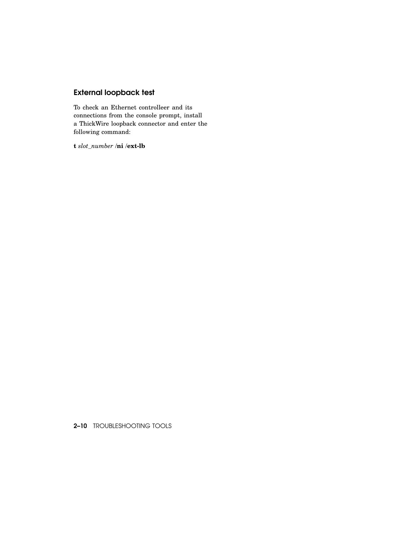# External loopback test

To check an Ethernet controlleer and its connections from the console prompt, install a ThickWire loopback connector and enter the following command:

**t** *slot\_number* /**ni** /**ext-lb**

2–10 TROUBLESHOOTING TOOLS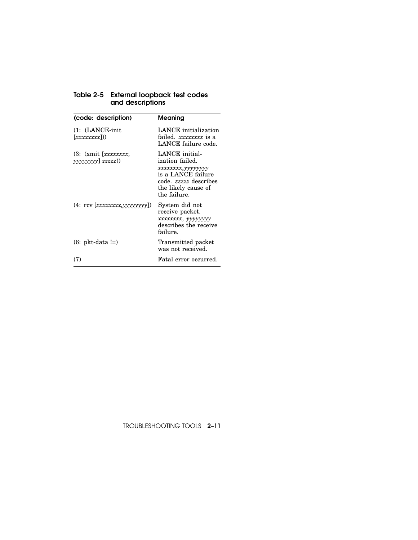| (code: description)                            | <b>Meaning</b>                                                                                                                                |
|------------------------------------------------|-----------------------------------------------------------------------------------------------------------------------------------------------|
| $(1: (LANCE\text{-}\text{init})$<br>[xxxxxxx]) | LANCE initialization<br>failed. xxxxxxxx is a<br>LANCE failure code.                                                                          |
| (3: (xmit [xxxxxxxx])<br>yyyyyyy] zzzzz))      | LANCE initial-<br>ization failed.<br>xxxxxxxx, yyyyyyyy<br>is a LANCE failure<br>code. zzzzz describes<br>the likely cause of<br>the failure. |
| (4: rev [xxxxxxxx, yyyyyyyy]                   | System did not<br>receive packet.<br>xxxxxxxx, yyyyyyyy<br>describes the receive<br>failure.                                                  |
| $(6: \text{pkt-data } !=)$                     | Transmitted packet<br>was not received.                                                                                                       |
| (7)                                            | Fatal error occurred.                                                                                                                         |

#### Table 2-5 External loopback test codes and descriptions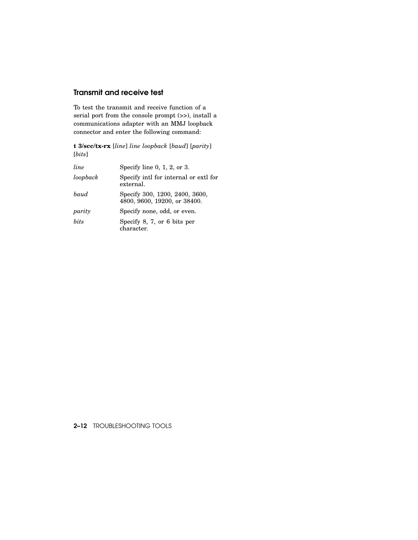## Transmit and receive test

To test the transmit and receive function of a serial port from the console prompt (>>), install a communications adapter with an MMJ loopback connector and enter the following command:

**t 3/scc/tx-rx** [*line*] *line loopback* [*baud*] [*parity*] [*bits*]

| line        | Specify line $0, 1, 2,$ or $3.$                                |
|-------------|----------------------------------------------------------------|
| loopback    | Specify intl for internal or extl for<br>external.             |
| <i>baud</i> | Specify 300, 1200, 2400, 3600,<br>4800, 9600, 19200, or 38400. |
| parity      | Specify none, odd, or even.                                    |
| hits        | Specify 8, 7, or 6 bits per<br>character.                      |
|             |                                                                |

### 2–12 TROUBLESHOOTING TOOLS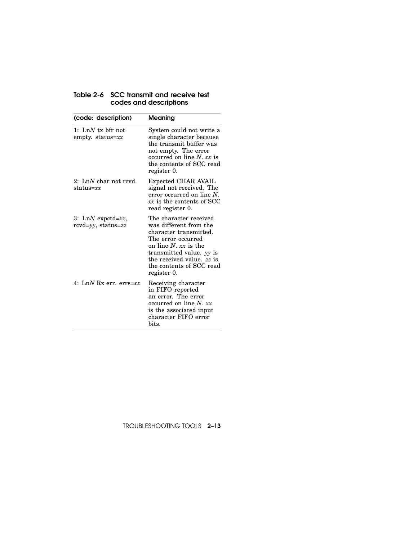| (code: description)                                 | Meaning                                                                                                                                                                                                                                  |
|-----------------------------------------------------|------------------------------------------------------------------------------------------------------------------------------------------------------------------------------------------------------------------------------------------|
| 1: LnN tx bfr not<br>empty. status= $xx$            | System could not write a<br>single character because<br>the transmit buffer was<br>not empty. The error<br>occurred on line $N$ . $xx$ is<br>the contents of SCC read<br>register 0.                                                     |
| 2: LnN char not revd.<br>${\rm status}{=}xx$        | Expected CHAR AVAIL<br>signal not received. The<br>error occurred on line $N$ .<br>xx is the contents of SCC<br>read register 0.                                                                                                         |
| 3: LnN expctd= $xx$ ,<br>$rcvd = yy$ , status= $zz$ | The character received<br>was different from the<br>character transmitted.<br>The error occurred<br>on line $N$ , $xx$ is the<br>transmitted value. <i>vy</i> is<br>the received value. zz is<br>the contents of SCC read<br>register 0. |
| 4: LnN Rx err. errs=xx                              | Receiving character<br>in FIFO reported<br>an error. The error<br>occurred on line $N$ . $xx$<br>is the associated input<br>character FIFO error<br>bits.                                                                                |

## Table 2-6 SCC transmit and receive test codes and descriptions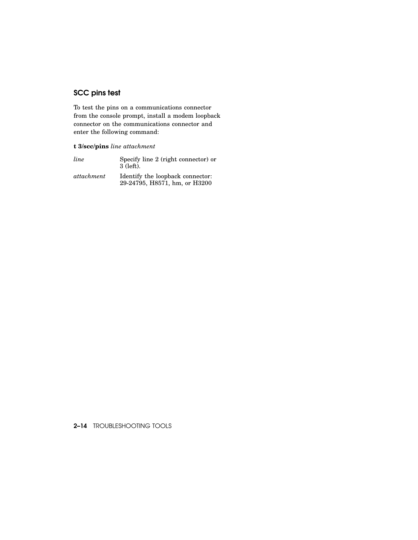# SCC pins test

To test the pins on a communications connector from the console prompt, install a modem loopback connector on the communications connector and enter the following command:

## **t 3/scc/pins** *line attachment*

| line       | Specify line 2 (right connector) or<br>3 (left).                  |
|------------|-------------------------------------------------------------------|
| attachment | Identify the loopback connector:<br>29-24795, H8571, hm, or H3200 |

### 2–14 TROUBLESHOOTING TOOLS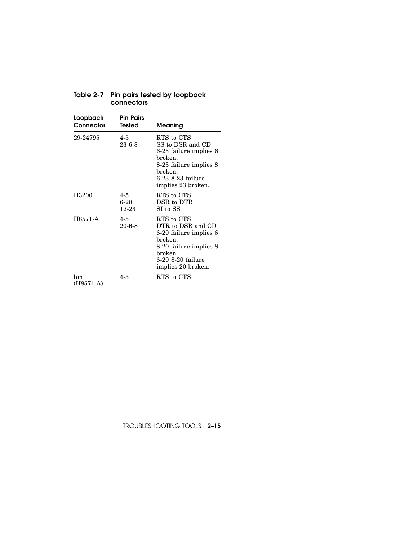| Loopback<br>Connector | <b>Pin Pairs</b><br>Tested | Meaning                                                                                                                                              |
|-----------------------|----------------------------|------------------------------------------------------------------------------------------------------------------------------------------------------|
| 29-24795              | $4 - 5$<br>$23 - 6 - 8$    | RTS to CTS<br>SS to DSR and CD<br>6-23 failure implies 6<br>broken.<br>8-23 failure implies 8<br>broken.<br>6-23 8-23 failure<br>implies 23 broken.  |
| H3200                 | $4 - 5$<br>6-20<br>12-23   | RTS to CTS<br>DSR to DTR<br>SI to SS                                                                                                                 |
| H8571-A               | $4 - 5$<br>$20 - 6 - 8$    | RTS to CTS<br>DTR to DSR and CD<br>6-20 failure implies 6<br>broken.<br>8-20 failure implies 8<br>broken.<br>6-20 8-20 failure<br>implies 20 broken. |
| hm<br>$(H8571-A)$     | $4 - 5$                    | RTS to CTS                                                                                                                                           |

#### Table 2-7 Pin pairs tested by loopback connectors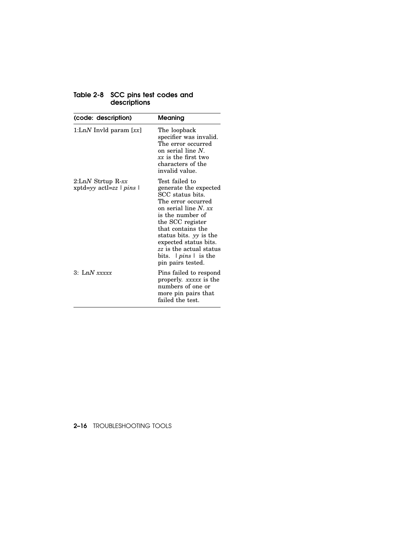| Table 2-8 SCC pins test codes and |              |  |
|-----------------------------------|--------------|--|
|                                   | descriptions |  |

| (code: description)                              | Meaning                                                                                                                                                                                                                                                                                              |
|--------------------------------------------------|------------------------------------------------------------------------------------------------------------------------------------------------------------------------------------------------------------------------------------------------------------------------------------------------------|
| 1:LnN Invld param $[xx]$                         | The loopback<br>specifier was invalid.<br>The error occurred<br>on serial line $N$ .<br>$xx$ is the first two<br>characters of the<br>invalid value.                                                                                                                                                 |
| $2:LM$ Strtup R-xx<br>$xptd=yy$ actl=zz $ pins $ | Test failed to<br>generate the expected<br>SCC status bits.<br>The error occurred<br>on serial line N. $xx$<br>is the number of<br>the SCC register<br>that contains the<br>status bits. yy is the<br>expected status bits.<br>zz is the actual status<br>bits. $ pins $ is the<br>pin pairs tested. |
| $3:$ LnN $xxxxx$                                 | Pins failed to respond<br>properly. xxxxx is the<br>numbers of one or<br>more pin pairs that<br>failed the test.                                                                                                                                                                                     |

## 2–16 TROUBLESHOOTING TOOLS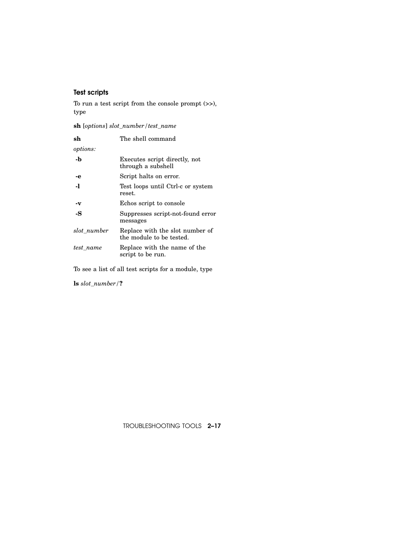# Test scripts

To run a test script from the console prompt (>>), type

**sh** [*options*] *slot\_number/test\_name*

| sh              | The shell command                                           |
|-----------------|-------------------------------------------------------------|
| <i>options:</i> |                                                             |
| -b              | Executes script directly, not<br>through a subshell         |
| -е              | Script halts on error.                                      |
| $\mathbf{I}$    | Test loops until Ctrl-c or system<br>reset.                 |
| -v              | Echos script to console                                     |
| -S              | Suppresses script-not-found error<br>messages               |
| slot_number     | Replace with the slot number of<br>the module to be tested. |
| test name       | Replace with the name of the<br>script to be run.           |

To see a list of all test scripts for a module, type

**ls** *slot\_number/***?**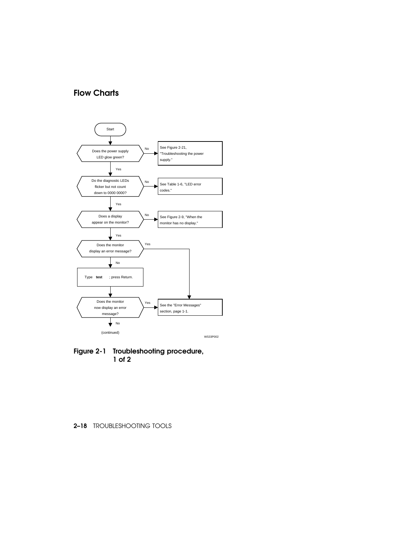## Flow Charts



Figure 2-1 Troubleshooting procedure, 1 of 2

### 2–18 TROUBLESHOOTING TOOLS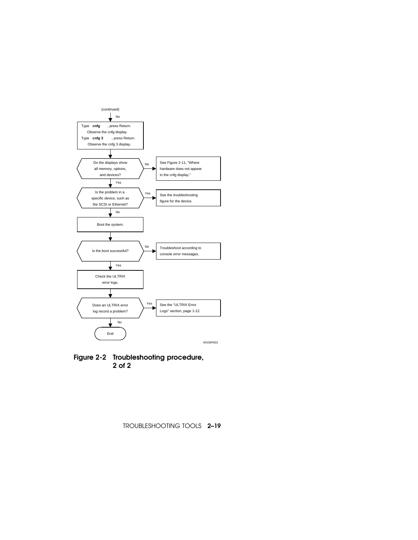

Figure 2-2 Troubleshooting procedure, 2 of 2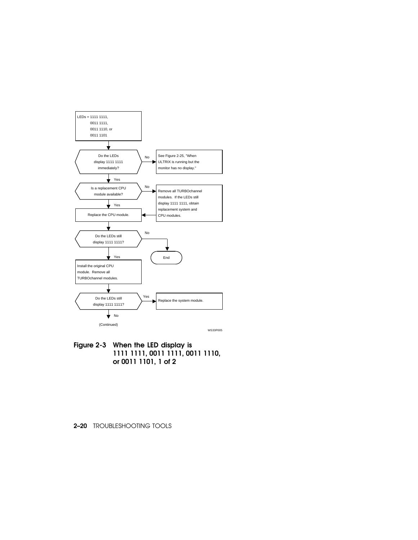

Figure 2-3 When the LED display is 1111 1111, 0011 1111, 0011 1110, or 0011 1101, 1 of 2

#### 2–20 TROUBLESHOOTING TOOLS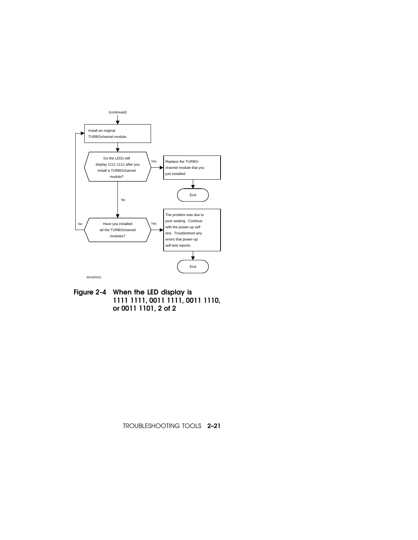

Figure 2-4 When the LED display is 1111 1111, 0011 1111, 0011 1110, or 0011 1101, 2 of 2

TROUBLESHOOTING TOOLS 2–21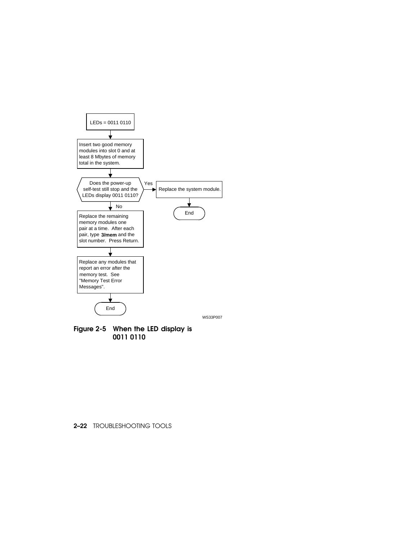

Figure 2-5 When the LED display is 0011 0110

## 2–22 TROUBLESHOOTING TOOLS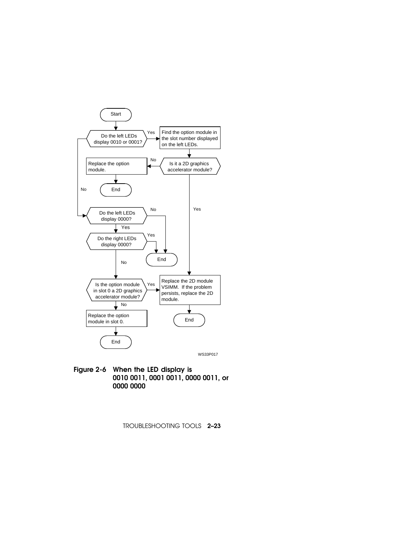

Figure 2-6 When the LED display is 0010 0011, 0001 0011, 0000 0011, or 0000 0000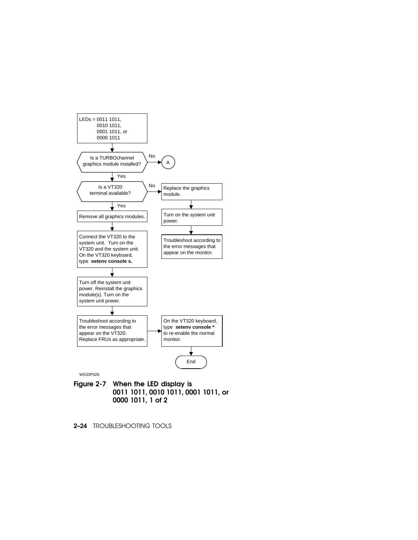

- Figure 2-7 When the LED display is 0011 1011, 0010 1011, 0001 1011, or 0000 1011, 1 of 2
- 2–24 TROUBLESHOOTING TOOLS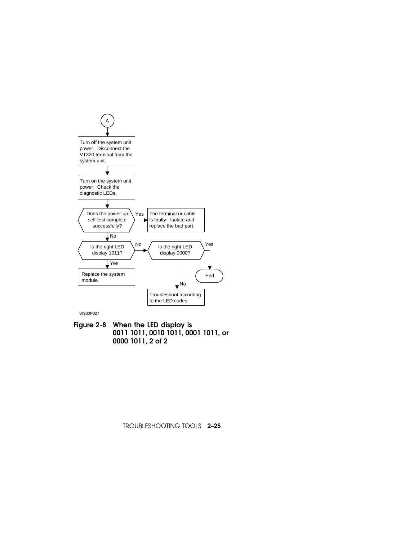

Figure 2-8 When the LED display is 0011 1011, 0010 1011, 0001 1011, or 0000 1011, 2 of 2

TROUBLESHOOTING TOOLS 2–25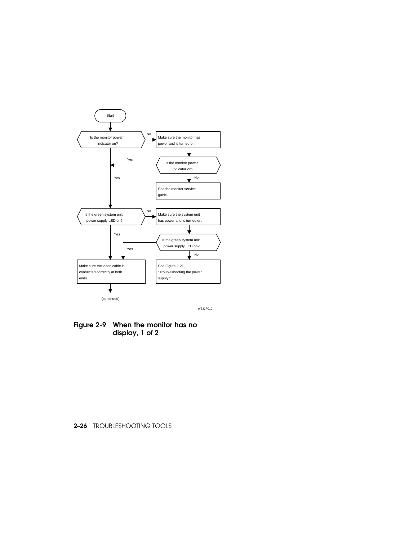

Figure 2-9 When the monitor has no display, 1 of 2

## 2–26 TROUBLESHOOTING TOOLS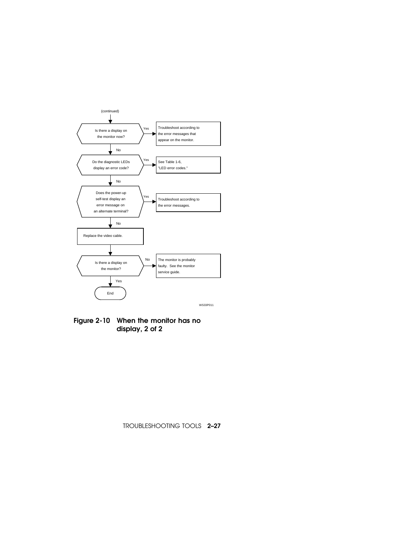

Figure 2-10 When the monitor has no display, 2 of 2

TROUBLESHOOTING TOOLS 2–27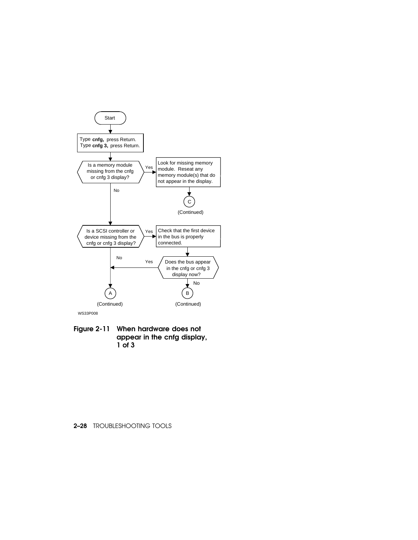

Figure 2-11 When hardware does not appear in the cnfg display, 1 of 3

## 2–28 TROUBLESHOOTING TOOLS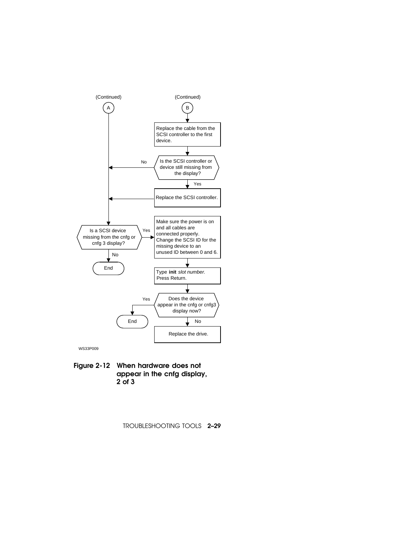

Figure 2-12 When hardware does not appear in the cnfg display, 2 of 3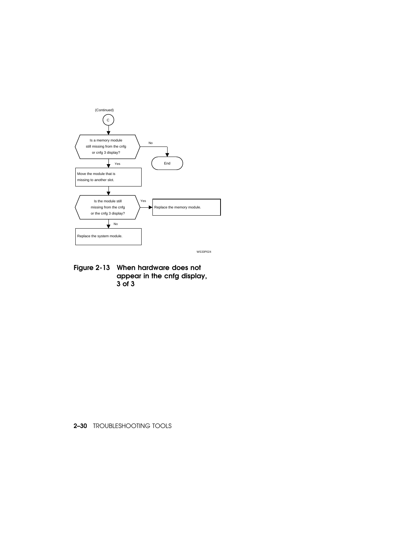

Figure 2-13 When hardware does not appear in the cnfg display, 3 of 3

2–30 TROUBLESHOOTING TOOLS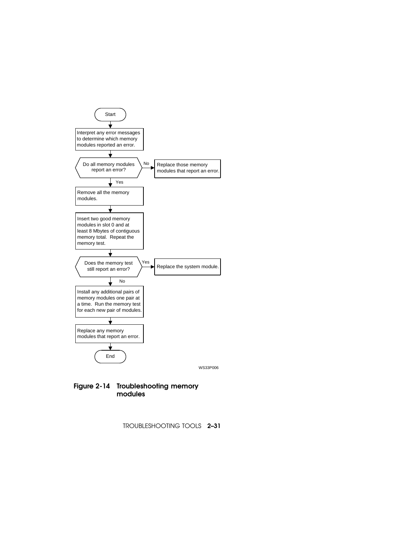

## Figure 2-14 Troubleshooting memory modules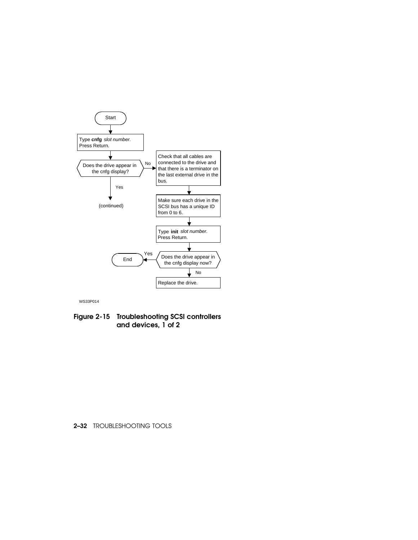

Figure 2-15 Troubleshooting SCSI controllers and devices, 1 of 2

### 2–32 TROUBLESHOOTING TOOLS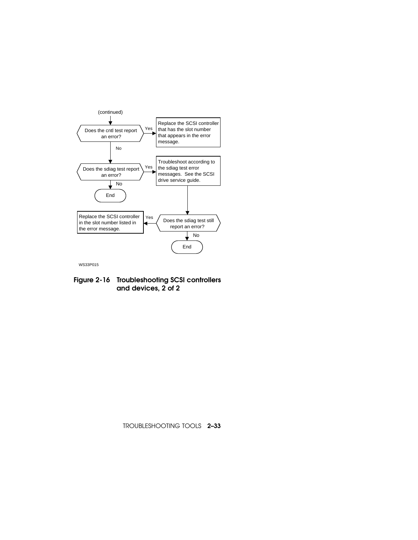

Figure 2-16 Troubleshooting SCSI controllers and devices, 2 of 2

TROUBLESHOOTING TOOLS 2–33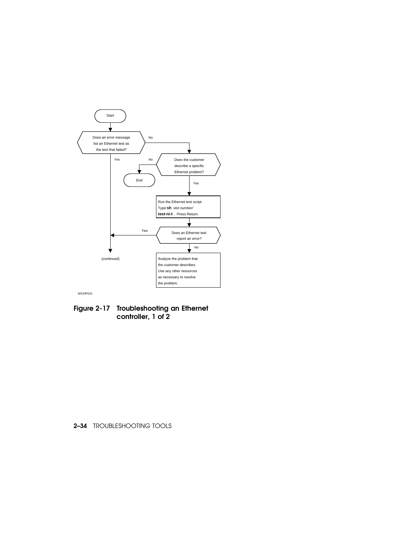

Figure 2-17 Troubleshooting an Ethernet controller, 1 of 2

## 2–34 TROUBLESHOOTING TOOLS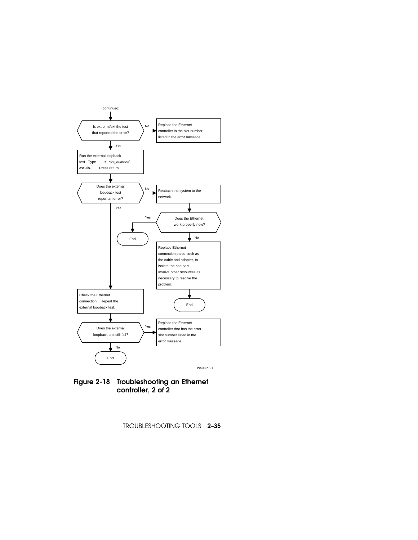

Figure 2-18 Troubleshooting an Ethernet controller, 2 of 2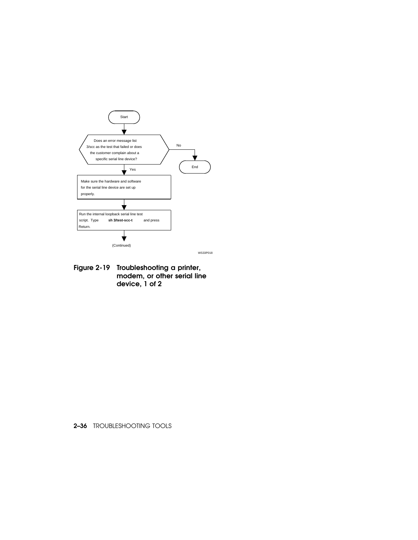



Figure 2-19 Troubleshooting a printer, modem, or other serial line device, 1 of 2

2–36 TROUBLESHOOTING TOOLS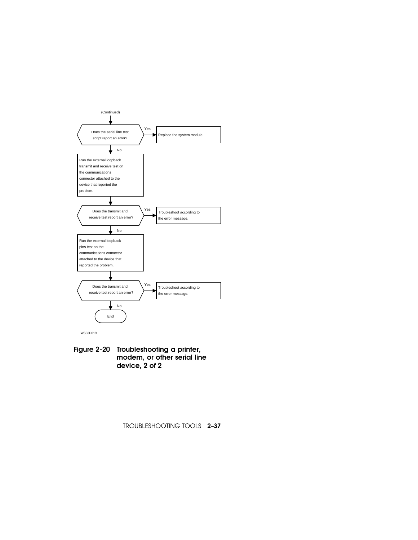

Figure 2-20 Troubleshooting a printer, modem, or other serial line device, 2 of 2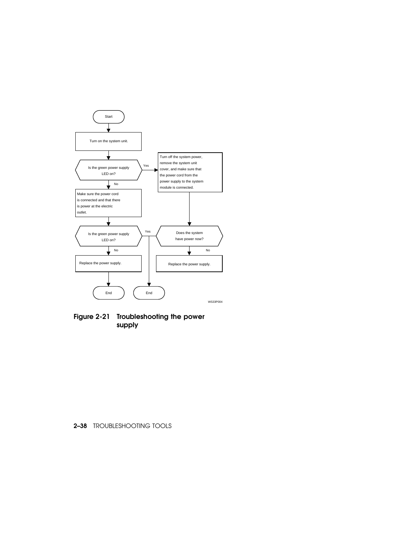

Figure 2-21 Troubleshooting the power supply

## 2–38 TROUBLESHOOTING TOOLS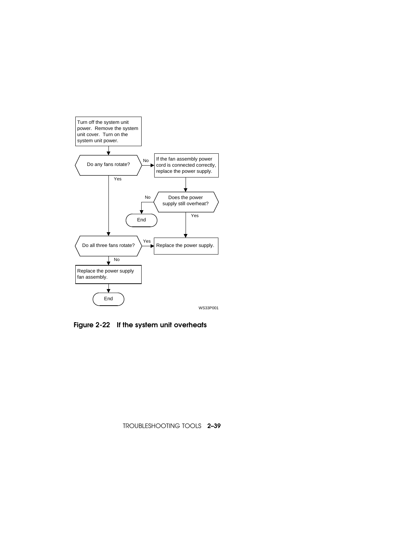

Figure 2-22 If the system unit overheats

TROUBLESHOOTING TOOLS 2–39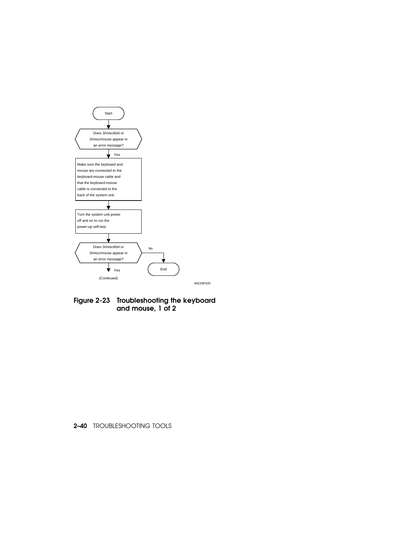

Figure 2-23 Troubleshooting the keyboard and mouse, 1 of 2

2–40 TROUBLESHOOTING TOOLS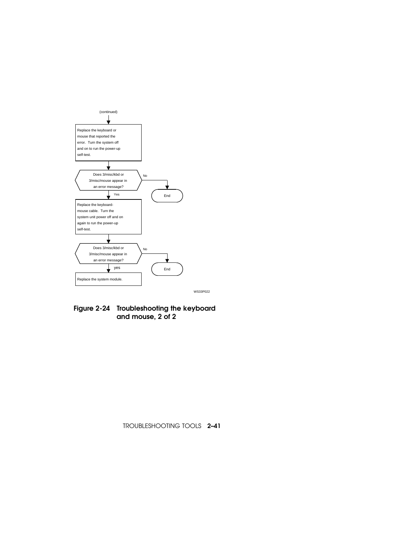

WS33P022

Figure 2-24 Troubleshooting the keyboard and mouse, 2 of 2

TROUBLESHOOTING TOOLS 2–41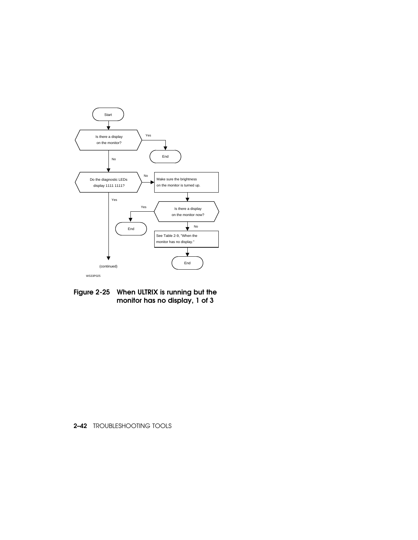

Figure 2-25 When ULTRIX is running but the monitor has no display, 1 of 3

# 2–42 TROUBLESHOOTING TOOLS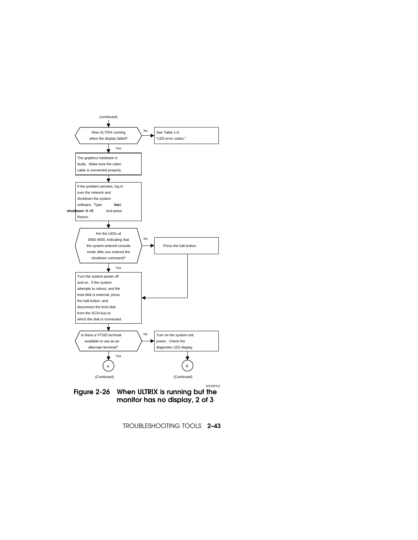

TROUBLESHOOTING TOOLS 2–43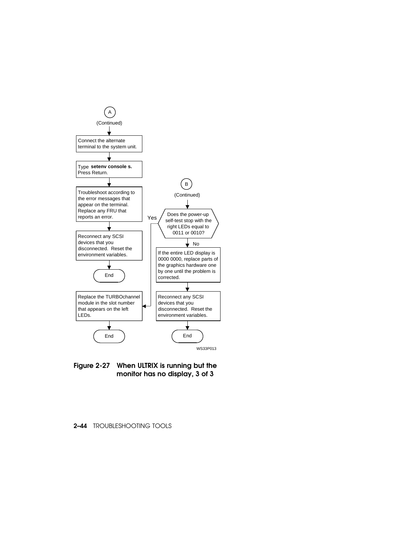

Figure 2-27 When ULTRIX is running but the monitor has no display, 3 of 3

### 2–44 TROUBLESHOOTING TOOLS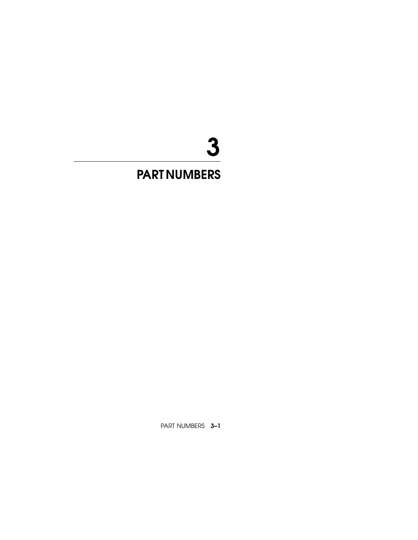# 3

# PART NUMBERS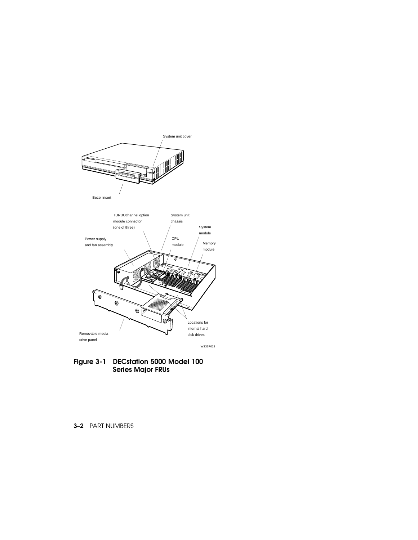

Figure 3-1 DECstation 5000 Model 100 Series Major FRUs

3–2 PART NUMBERS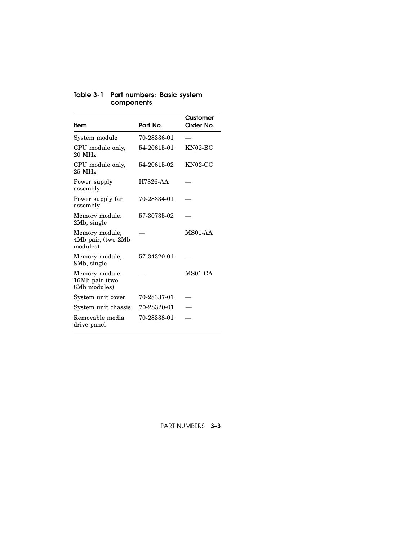| Item                                             | Part No.    | Customer<br>Order No. |
|--------------------------------------------------|-------------|-----------------------|
| System module                                    | 70-28336-01 |                       |
| CPU module only,<br>$20$ MHz                     | 54-20615-01 | $KN02-BC$             |
| CPU module only,<br>$25$ MHz                     | 54-20615-02 | $KN02-CC$             |
| Power supply<br>assembly                         | H7826-AA    |                       |
| Power supply fan<br>assembly                     | 70-28334-01 |                       |
| Memory module,<br>2Mb, single                    | 57-30735-02 |                       |
| Memory module,<br>4Mb pair, (two 2Mb<br>modules) |             | MS01-AA               |
| Memory module,<br>8Mb, single                    | 57-34320-01 |                       |
| Memory module,<br>16Mb pair (two<br>8Mb modules) |             | MS01-CA               |
| System unit cover                                | 70-28337-01 |                       |
| System unit chassis                              | 70-28320-01 |                       |
| Removable media<br>drive panel                   | 70-28338-01 |                       |

## Table 3-1 Part numbers: Basic system components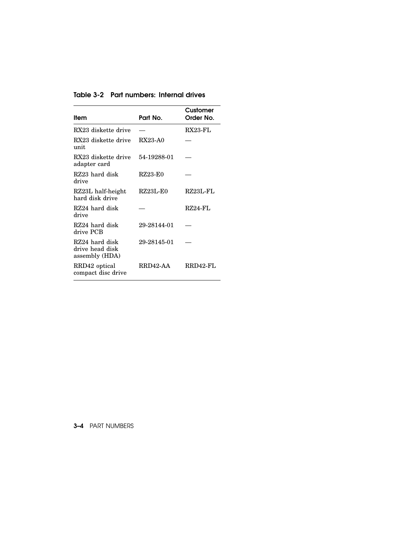Table 3-2 Part numbers: Internal drives

| ltem                                                | Part No.    | Customer<br>Order No. |
|-----------------------------------------------------|-------------|-----------------------|
| RX23 diskette drive                                 |             | RX23-FL               |
| RX23 diskette drive<br>unit                         | RX23-A0     |                       |
| RX23 diskette drive<br>adapter card                 | 54-19288-01 |                       |
| RZ23 hard disk<br>drive                             | RZ23-E0     |                       |
| RZ23L half-height<br>hard disk drive                | RZ23L-E0    | RZ23L-FL              |
| RZ24 hard disk<br>drive                             |             | $RZ24-FL$             |
| RZ24 hard disk<br>drive PCB                         | 29-28144-01 |                       |
| RZ24 hard disk<br>drive head disk<br>assembly (HDA) | 29-28145-01 |                       |
| RRD42 optical<br>compact disc drive                 | RRD42-AA    | RRD42-FL              |

3–4 PART NUMBERS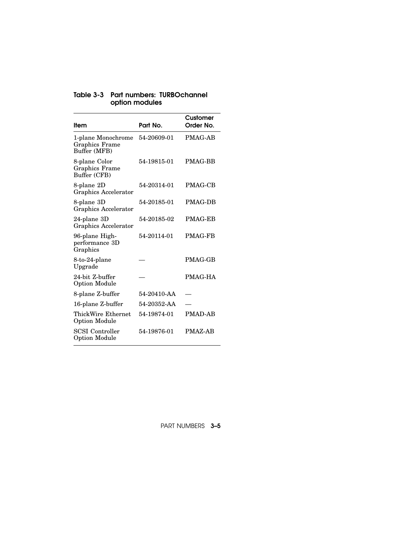| ltem                                                   | Part No.    | Customer<br>Order No. |
|--------------------------------------------------------|-------------|-----------------------|
| 1-plane Monochrome<br>Graphics Frame<br>Buffer (MFB)   | 54-20609-01 | <b>PMAG-AB</b>        |
| 8-plane Color<br><b>Graphics Frame</b><br>Buffer (CFB) | 54-19815-01 | <b>PMAG-BB</b>        |
| 8-plane 2D<br>Graphics Accelerator                     | 54-20314-01 | <b>PMAG-CB</b>        |
| 8-plane 3D<br>Graphics Accelerator                     | 54-20185-01 | <b>PMAG-DB</b>        |
| 24-plane 3D<br>Graphics Accelerator                    | 54-20185-02 | <b>PMAG-EB</b>        |
| 96-plane High-<br>performance 3D<br>Graphics           | 54-20114-01 | <b>PMAG-FB</b>        |
| 8-to-24-plane<br>Upgrade                               |             | <b>PMAG-GB</b>        |
| 24-bit Z-buffer<br><b>Option Module</b>                |             | PMAG-HA               |
| 8-plane Z-buffer                                       | 54-20410-AA |                       |
| 16-plane Z-buffer                                      | 54-20352-AA |                       |
| ThickWire Ethernet<br><b>Option Module</b>             | 54-19874-01 | <b>PMAD-AB</b>        |
| <b>SCSI</b> Controller<br>Option Module                | 54-19876-01 | PMAZ-AB               |

# Table 3-3 Part numbers: TURBOchannel option modules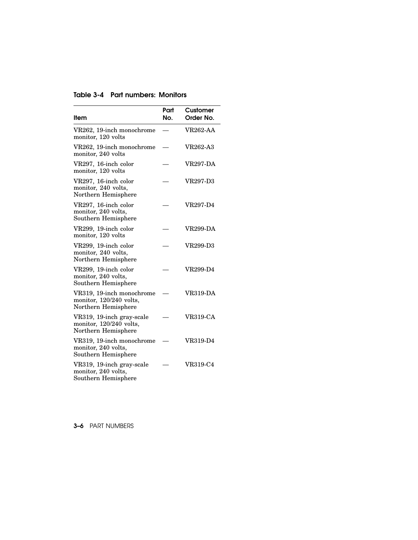| Table 3-4 Part numbers: Monitors |  |  |  |
|----------------------------------|--|--|--|
|----------------------------------|--|--|--|

|                                                                             | Part | Customer        |
|-----------------------------------------------------------------------------|------|-----------------|
| Item                                                                        | No.  | Order No.       |
| VR262, 19-inch monochrome<br>monitor, 120 volts                             |      | <b>VR262-AA</b> |
| VR262, 19-inch monochrome<br>monitor, 240 volts                             |      | VR262-A3        |
| VR297, 16-inch color<br>monitor, 120 volts                                  |      | <b>VR297-DA</b> |
| VR297, 16-inch color<br>monitor, 240 volts,<br>Northern Hemisphere          |      | VR297-D3        |
| VR297, 16-inch color<br>monitor, 240 volts,<br>Southern Hemisphere          |      | <b>VR297-D4</b> |
| VR299, 19-inch color<br>monitor, 120 volts                                  |      | VR299-DA        |
| VR299, 19-inch color<br>monitor, 240 volts,<br>Northern Hemisphere          |      | VR299-D3        |
| VR299, 19-inch color<br>monitor, 240 volts,<br>Southern Hemisphere          |      | VR299-D4        |
| VR319, 19-inch monochrome<br>monitor, 120/240 volts,<br>Northern Hemisphere |      | VR319-DA        |
| VR319, 19-inch gray-scale<br>monitor, 120/240 volts,<br>Northern Hemisphere |      | VR319-CA        |
| VR319, 19-inch monochrome<br>monitor, 240 volts,<br>Southern Hemisphere     |      | <b>VR319-D4</b> |
| VR319, 19-inch gray-scale<br>monitor, 240 volts,<br>Southern Hemisphere     |      | <b>VR319-C4</b> |

3–6 PART NUMBERS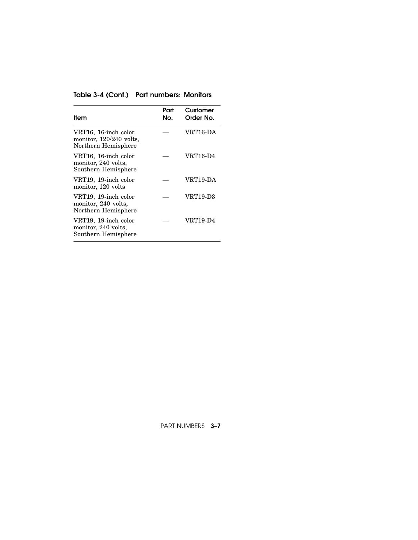# Table 3-4 (Cont.) Part numbers: Monitors

| Item                                                                     | Part<br>No. | Customer<br>Order No. |
|--------------------------------------------------------------------------|-------------|-----------------------|
| VRT16, 16-inch color<br>monitor, $120/240$ volts,<br>Northern Hemisphere |             | VRT16-DA              |
| VRT16, 16-inch color<br>monitor, 240 volts.<br>Southern Hemisphere       |             | VRT16-D4              |
| VRT19, 19-inch color<br>monitor, 120 volts                               |             | VRT19-DA              |
| VRT19, 19-inch color<br>monitor, 240 volts,<br>Northern Hemisphere       |             | VRT19-D3              |
| VRT19, 19-inch color<br>monitor, 240 volts,<br>Southern Hemisphere       |             | VRT19-D4              |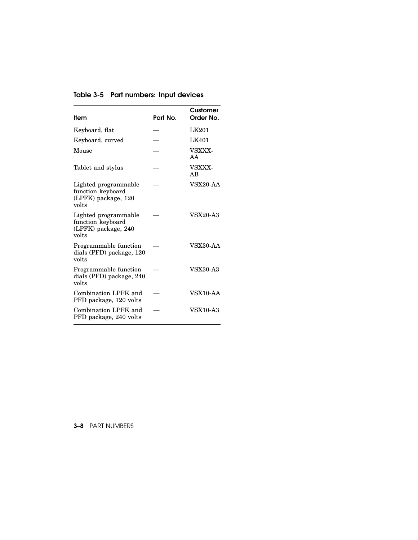| ltem                                                                      | Part No. | Customer<br>Order No. |
|---------------------------------------------------------------------------|----------|-----------------------|
| Keyboard, flat                                                            |          | LK201                 |
| Keyboard, curved                                                          |          | <b>LK401</b>          |
| Mouse                                                                     |          | VSXXX-<br>AA          |
| Tablet and stylus                                                         |          | VSXXX-<br>AB          |
| Lighted programmable<br>function keyboard<br>(LPFK) package, 120<br>volts |          | VSX20-AA              |
| Lighted programmable<br>function keyboard<br>(LPFK) package, 240<br>volts |          | <b>VSX20-A3</b>       |
| Programmable function<br>dials (PFD) package, 120<br>volts                |          | <b>VSX30-AA</b>       |
| Programmable function<br>dials (PFD) package, 240<br>volts                |          | <b>VSX30-A3</b>       |
| Combination LPFK and<br>PFD package, 120 volts                            |          | VSX10-AA              |
| Combination LPFK and<br>PFD package, 240 volts                            |          | <b>VSX10-A3</b>       |

Table 3-5 Part numbers: Input devices

# 3–8 PART NUMBERS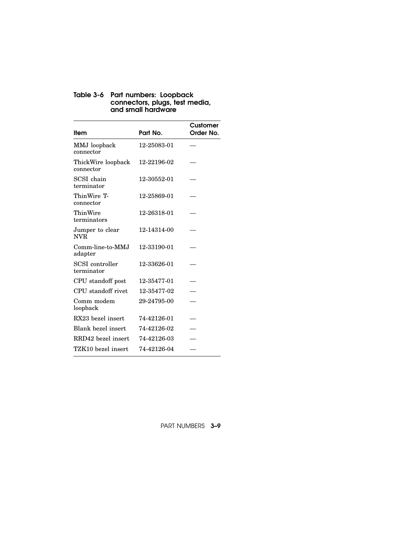#### Table 3-6 Part numbers: Loopback connectors, plugs, test media, and small hardware

| ltem                            | Part No.    | Customer<br>Order No. |
|---------------------------------|-------------|-----------------------|
| MMJ loopback<br>connector       | 12-25083-01 |                       |
| ThickWire loopback<br>connector | 12-22196-02 |                       |
| SCSI chain<br>terminator        | 12-30552-01 |                       |
| ThinWire T-<br>connector        | 12-25869-01 |                       |
| ThinWire<br>terminators         | 12-26318-01 |                       |
| Jumper to clear<br>NVR.         | 12-14314-00 |                       |
| Comm-line-to-MMJ<br>adapter     | 12-33190-01 |                       |
| SCSI controller<br>terminator   | 12-33626-01 |                       |
| CPU standoff post               | 12-35477-01 |                       |
| CPU standoff rivet              | 12-35477-02 |                       |
| Comm modem<br>loopback          | 29-24795-00 |                       |
| RX23 bezel insert               | 74-42126-01 |                       |
| Blank bezel insert              | 74-42126-02 |                       |
| RRD42 bezel insert              | 74-42126-03 |                       |
| TZK10 bezel insert              | 74-42126-04 |                       |
|                                 |             |                       |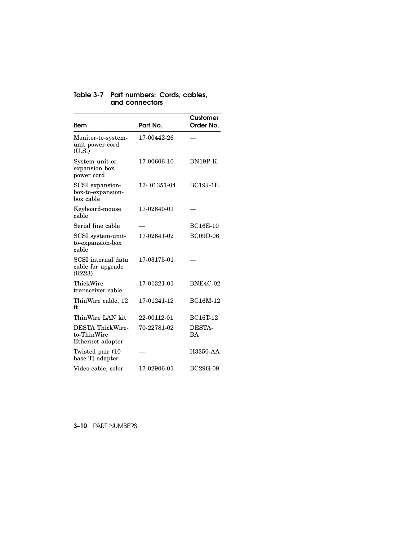| Item                                                       | Part No.    | Customer<br>Order No. |
|------------------------------------------------------------|-------------|-----------------------|
| Monitor-to-system-<br>unit power cord<br>(U.S.)            | 17-00442-26 |                       |
| System unit or<br>expansion box<br>power cord              | 17-00606-10 | $BN19P-K$             |
| SCSI expansion-<br>box-to-expansion-<br>box cable          | 17-01351-04 | $BC19J-1E$            |
| Keyboard-mouse<br>cable                                    | 17-02640-01 |                       |
| Serial line cable                                          |             | <b>BC16E-10</b>       |
| SCSI system-unit-<br>to-expansion-box<br>cable             | 17-02641-02 | <b>BC09D-06</b>       |
| SCSI internal data<br>cable for upgrade<br>(RZ23)          | 17-03175-01 |                       |
| ThickWire<br>transceiver cable                             | 17-01321-01 | <b>BNE4C-02</b>       |
| ThinWire cable, 12<br>ft.                                  | 17-01241-12 | <b>BC16M-12</b>       |
| ThinWire LAN kit                                           | 22-00112-01 | <b>BC16T-12</b>       |
| <b>DESTA ThickWire-</b><br>to-ThinWire<br>Ethernet adapter | 70-22781-02 | DESTA-<br>BA          |
| Twisted pair (10)<br>base T) adapter                       |             | H3350-AA              |
| Video cable, color                                         | 17-02906-01 | BC29G-09              |

# Table 3-7 Part numbers: Cords, cables, and connectors

3–10 PART NUMBERS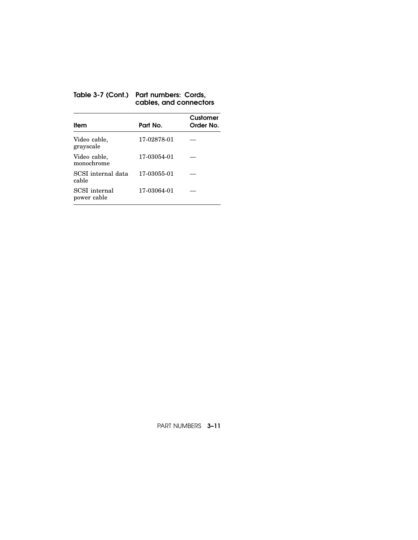## Table 3-7 (Cont.) Part numbers: Cords, cables, and connectors

| ltem                                | Part No.    | Customer<br>Order No. |
|-------------------------------------|-------------|-----------------------|
| Video cable,<br>grayscale           | 17-02878-01 |                       |
| Video cable,<br>monochrome          | 17-03054-01 |                       |
| SCSI internal data<br>cable         | 17-03055-01 |                       |
| <b>SCSI</b> internal<br>power cable | 17-03064-01 |                       |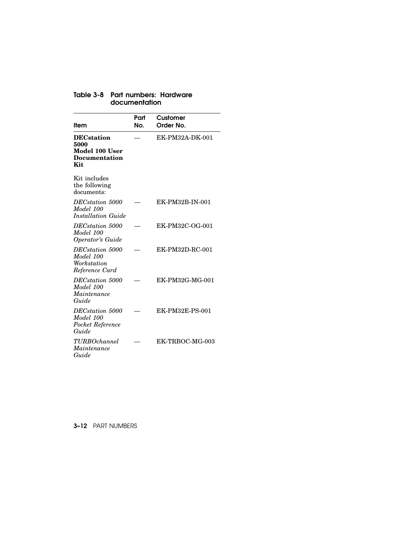| Item                                                                        | Part<br>No. | Customer<br>Order No. |
|-----------------------------------------------------------------------------|-------------|-----------------------|
| <b>DECstation</b><br>5000<br>Model 100 User<br><b>Documentation</b><br>Kit. |             | EK-PM32A-DK-001       |
| Kit includes<br>the following<br>documents:                                 |             |                       |
| DEC <sub>station</sub> 5000<br>Model 100<br>Installation Guide              |             | EK-PM32B-IN-001       |
| DEC <sub>station</sub> 5000<br>Model 100<br><i><b>Operator's Guide</b></i>  |             | EK-PM32C-OG-001       |
| DEC <sub>station</sub> 5000<br>Model 100<br>Workstation<br>Reference Card   |             | EK-PM32D-RC-001       |
| DEC <sub>station</sub> 5000<br>Model 100<br>Maintenance<br>Guide            |             | EK-PM32G-MG-001       |
| DEC <sub>station</sub> 5000<br>Model 100<br>Pocket Reference<br>Guide       |             | EK-PM32E-PS-001       |
| <b>TURBOchannel</b><br>Maintenance<br>Guide                                 |             | EK-TRBOC-MG-003       |

# Table 3-8 Part numbers: Hardware documentation

3–12 PART NUMBERS